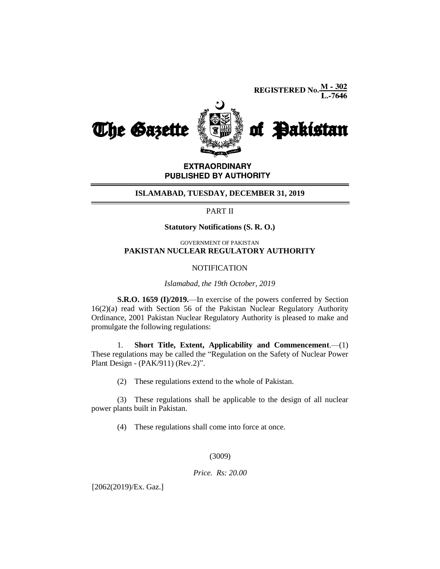**REGISTERED No.**  $\frac{M - 302}{L - 7646}$ 



**EXTRAORDINARY** PUBLISHED BY AUTHORITY

#### **ISLAMABAD, TUESDAY, DECEMBER 31, 2019**

#### PART II

#### **Statutory Notifications (S. R. O.)**

#### GOVERNMENT OF PAKISTAN **PAKISTAN NUCLEAR REGULATORY AUTHORITY**

#### **NOTIFICATION**

#### *Islamabad, the 19th October, 2019*

**S.R.O. 1659 (I)/2019.**—In exercise of the powers conferred by Section 16(2)(a) read with Section 56 of the Pakistan Nuclear Regulatory Authority Ordinance, 2001 Pakistan Nuclear Regulatory Authority is pleased to make and promulgate the following regulations:

1. **Short Title, Extent, Applicability and Commencement**.—(1) These regulations may be called the "Regulation on the Safety of Nuclear Power Plant Design -  $(PAK/911)$   $(Rev.2)$ ".

(2) These regulations extend to the whole of Pakistan.

(3) These regulations shall be applicable to the design of all nuclear power plants built in Pakistan.

(4) These regulations shall come into force at once.

#### (3009)

#### *Price. Rs: 20.00*

[2062(2019)/Ex. Gaz.]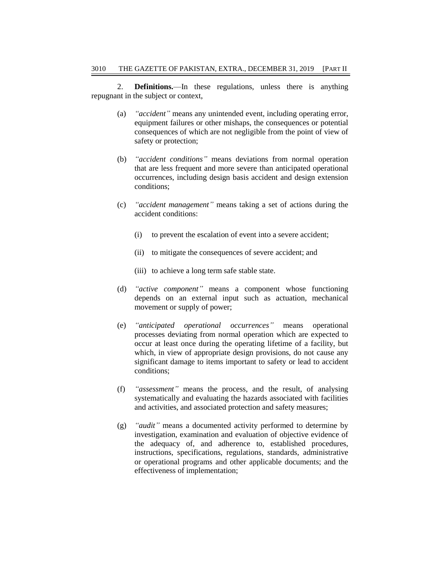2. **Definitions.**—In these regulations, unless there is anything repugnant in the subject or context,

- (a) *"accident"* means any unintended event, including operating error, equipment failures or other mishaps, the consequences or potential consequences of which are not negligible from the point of view of safety or protection;
- (b) *"accident conditions"* means deviations from normal operation that are less frequent and more severe than anticipated operational occurrences, including design basis accident and design extension conditions;
- (c) *"accident management"* means taking a set of actions during the accident conditions:
	- (i) to prevent the escalation of event into a severe accident;
	- (ii) to mitigate the consequences of severe accident; and
	- (iii) to achieve a long term safe stable state.
- (d) *"active component"* means a component whose functioning depends on an external input such as actuation, mechanical movement or supply of power;
- (e) *"anticipated operational occurrences"* means operational processes deviating from normal operation which are expected to occur at least once during the operating lifetime of a facility, but which, in view of appropriate design provisions, do not cause any significant damage to items important to safety or lead to accident conditions;
- (f) *"assessment"* means the process, and the result, of analysing systematically and evaluating the hazards associated with facilities and activities, and associated protection and safety measures;
- (g) *"audit"* means a documented activity performed to determine by investigation, examination and evaluation of objective evidence of the adequacy of, and adherence to, established procedures, instructions, specifications, regulations, standards, administrative or operational programs and other applicable documents; and the effectiveness of implementation;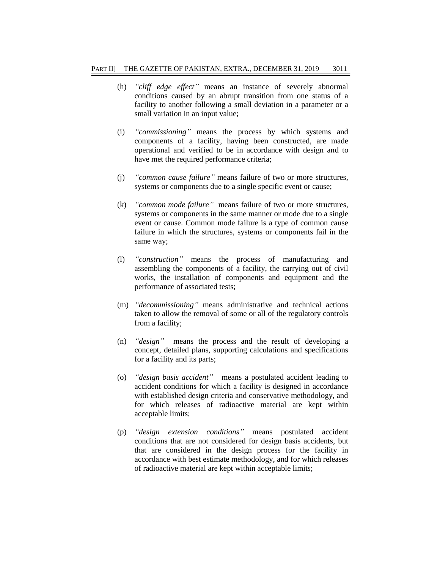- (h) *"cliff edge effect"* means an instance of severely abnormal conditions caused by an abrupt transition from one status of a facility to another following a small deviation in a parameter or a small variation in an input value;
- (i) *"commissioning"* means the process by which systems and components of a facility, having been constructed, are made operational and verified to be in accordance with design and to have met the required performance criteria;
- (j) *"common cause failure"* means failure of two or more structures, systems or components due to a single specific event or cause;
- (k) *"common mode failure"* means failure of two or more structures, systems or components in the same manner or mode due to a single event or cause. Common mode failure is a type of common cause failure in which the structures, systems or components fail in the same way;
- (l) *"construction"* means the process of manufacturing and assembling the components of a facility, the carrying out of civil works, the installation of components and equipment and the performance of associated tests;
- (m) *"decommissioning"* means administrative and technical actions taken to allow the removal of some or all of the regulatory controls from a facility;
- (n) *"design"* means the process and the result of developing a concept, detailed plans, supporting calculations and specifications for a facility and its parts;
- (o) *"design basis accident"* means a postulated accident leading to accident conditions for which a facility is designed in accordance with established design criteria and conservative methodology, and for which releases of radioactive material are kept within acceptable limits;
- (p) *"design extension conditions"* means postulated accident conditions that are not considered for design basis accidents, but that are considered in the design process for the facility in accordance with best estimate methodology, and for which releases of radioactive material are kept within acceptable limits;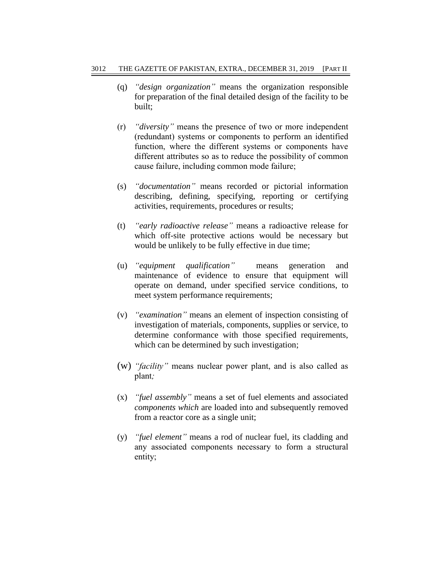- (q) *"design organization"* means the organization responsible for preparation of the final detailed design of the facility to be built;
- (r) *"diversity"* means the presence of two or more independent (redundant) systems or components to perform an identified function, where the different systems or components have different attributes so as to reduce the possibility of common cause failure, including common mode failure;
- (s) *"documentation"* means recorded or pictorial information describing, defining, specifying, reporting or certifying activities, requirements, procedures or results;
- (t) *"early radioactive release"* means a radioactive release for which off-site protective actions would be necessary but would be unlikely to be fully effective in due time;
- (u) *"equipment qualification"* means generation and maintenance of evidence to ensure that equipment will operate on demand, under specified service conditions, to meet system performance requirements;
- (v) *"examination"* means an element of inspection consisting of investigation of materials, components, supplies or service, to determine conformance with those specified requirements, which can be determined by such investigation;
- (w) *"facility"* means nuclear power plant, and is also called as plant*;*
- (x) *"fuel assembly"* means a set of fuel elements and associated *components which* are loaded into and subsequently removed from a reactor core as a single unit;
- (y) *"fuel element"* means a rod of nuclear fuel, its cladding and any associated components necessary to form a structural entity;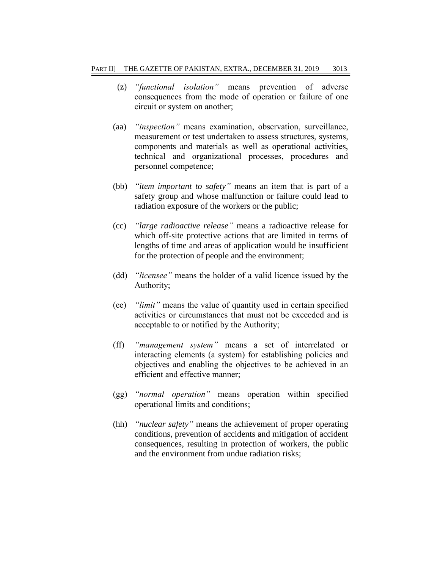- (z) *"functional isolation"* means prevention of adverse consequences from the mode of operation or failure of one circuit or system on another;
- (aa) *"inspection"* means examination, observation, surveillance, measurement or test undertaken to assess structures, systems, components and materials as well as operational activities, technical and organizational processes, procedures and personnel competence;
- (bb) *"item important to safety"* means an item that is part of a safety group and whose malfunction or failure could lead to radiation exposure of the workers or the public;
- (cc) *"large radioactive release"* means a radioactive release for which off-site protective actions that are limited in terms of lengths of time and areas of application would be insufficient for the protection of people and the environment;
- (dd) *"licensee"* means the holder of a valid licence issued by the Authority;
- (ee) *"limit"* means the value of quantity used in certain specified activities or circumstances that must not be exceeded and is acceptable to or notified by the Authority;
- (ff) *"management system"* means a set of interrelated or interacting elements (a system) for establishing policies and objectives and enabling the objectives to be achieved in an efficient and effective manner;
- (gg) *"normal operation"* means operation within specified operational limits and conditions;
- (hh) *"nuclear safety"* means the achievement of proper operating conditions, prevention of accidents and mitigation of accident consequences, resulting in protection of workers, the public and the environment from undue radiation risks;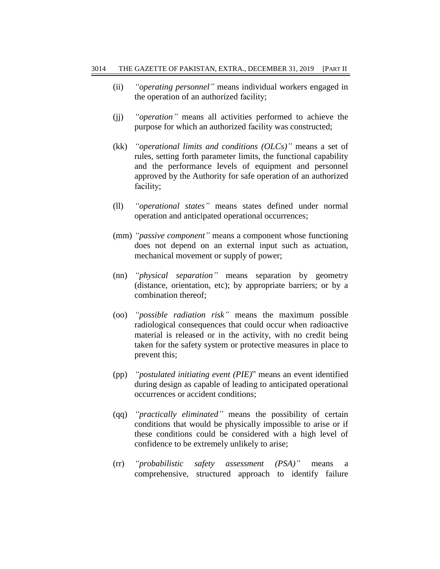- (ii) *"operating personnel"* means individual workers engaged in the operation of an authorized facility;
- (jj) *"operation"* means all activities performed to achieve the purpose for which an authorized facility was constructed;
- (kk) *"operational limits and conditions (OLCs)"* means a set of rules, setting forth parameter limits, the functional capability and the performance levels of equipment and personnel approved by the Authority for safe operation of an authorized facility;
- (ll) *"operational states"* means states defined under normal operation and anticipated operational occurrences;
- (mm) *"passive component"* means a component whose functioning does not depend on an external input such as actuation, mechanical movement or supply of power;
- (nn) *"physical separation"* means separation by geometry (distance, orientation, etc); by appropriate barriers; or by a combination thereof;
- (oo) *"possible radiation risk"* means the maximum possible radiological consequences that could occur when radioactive material is released or in the activity, with no credit being taken for the safety system or protective measures in place to prevent this;
- (pp) *"postulated initiating event (PIE)*‖ means an event identified during design as capable of leading to anticipated operational occurrences or accident conditions;
- (qq) *"practically eliminated"* means the possibility of certain conditions that would be physically impossible to arise or if these conditions could be considered with a high level of confidence to be extremely unlikely to arise;
- (rr) *"probabilistic safety assessment (PSA)"* means a comprehensive, structured approach to identify failure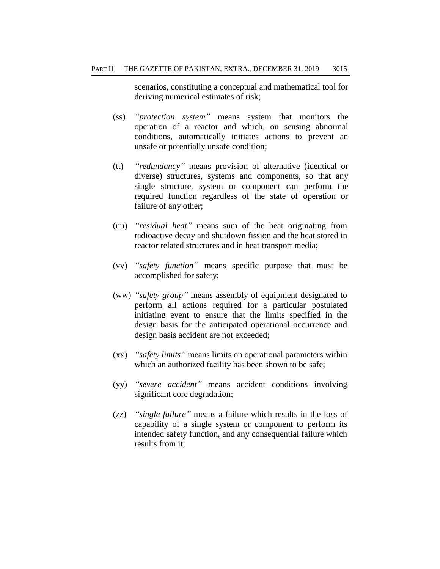scenarios, constituting a conceptual and mathematical tool for deriving numerical estimates of risk;

- (ss) *"protection system"* means system that monitors the operation of a reactor and which, on sensing abnormal conditions, automatically initiates actions to prevent an unsafe or potentially unsafe condition;
- (tt) *"redundancy"* means provision of alternative (identical or diverse) structures, systems and components, so that any single structure, system or component can perform the required function regardless of the state of operation or failure of any other;
- (uu) *"residual heat"* means sum of the heat originating from radioactive decay and shutdown fission and the heat stored in reactor related structures and in heat transport media;
- (vv) *"safety function"* means specific purpose that must be accomplished for safety;
- (ww) *"safety group"* means assembly of equipment designated to perform all actions required for a particular postulated initiating event to ensure that the limits specified in the design basis for the anticipated operational occurrence and design basis accident are not exceeded;
- (xx) *"safety limits"* means limits on operational parameters within which an authorized facility has been shown to be safe;
- (yy) *"severe accident"* means accident conditions involving significant core degradation;
- (zz) *"single failure"* means a failure which results in the loss of capability of a single system or component to perform its intended safety function, and any consequential failure which results from it;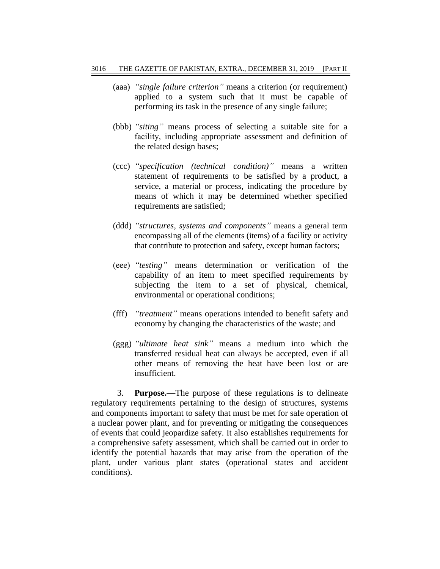- (aaa) *"single failure criterion"* means a criterion (or requirement) applied to a system such that it must be capable of performing its task in the presence of any single failure;
- (bbb) *"siting"* means process of selecting a suitable site for a facility, including appropriate assessment and definition of the related design bases;
- (ccc) *"specification (technical condition)"* means a written statement of requirements to be satisfied by a product, a service, a material or process, indicating the procedure by means of which it may be determined whether specified requirements are satisfied;
- (ddd) *"structures, systems and components"* means a general term encompassing all of the elements (items) of a facility or activity that contribute to protection and safety, except human factors;
- (eee) *"testing"* means determination or verification of the capability of an item to meet specified requirements by subjecting the item to a set of physical, chemical, environmental or operational conditions;
- (fff) *"treatment"* means operations intended to benefit safety and economy by changing the characteristics of the waste; and
- (ggg) *"ultimate heat sink"* means a medium into which the transferred residual heat can always be accepted, even if all other means of removing the heat have been lost or are insufficient.

3. **Purpose.—**The purpose of these regulations is to delineate regulatory requirements pertaining to the design of structures, systems and components important to safety that must be met for safe operation of a nuclear power plant, and for preventing or mitigating the consequences of events that could jeopardize safety. It also establishes requirements for a comprehensive safety assessment, which shall be carried out in order to identify the potential hazards that may arise from the operation of the plant, under various plant states (operational states and accident conditions).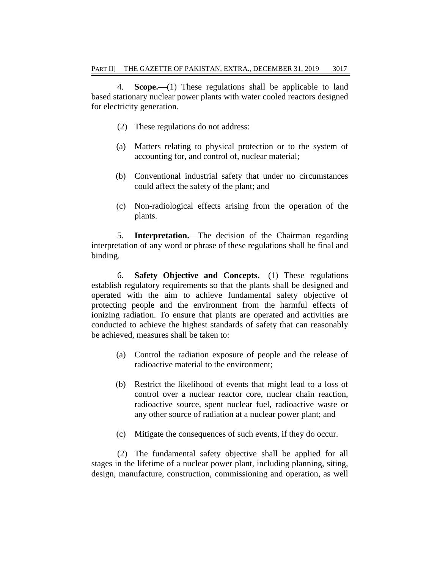4. **Scope.—**(1) These regulations shall be applicable to land based stationary nuclear power plants with water cooled reactors designed for electricity generation.

- (2) These regulations do not address:
- (a) Matters relating to physical protection or to the system of accounting for, and control of, nuclear material;
- (b) Conventional industrial safety that under no circumstances could affect the safety of the plant; and
- (c) Non-radiological effects arising from the operation of the plants.

5. **Interpretation.**—The decision of the Chairman regarding interpretation of any word or phrase of these regulations shall be final and binding.

6. **Safety Objective and Concepts.**—(1) These regulations establish regulatory requirements so that the plants shall be designed and operated with the aim to achieve fundamental safety objective of protecting people and the environment from the harmful effects of ionizing radiation. To ensure that plants are operated and activities are conducted to achieve the highest standards of safety that can reasonably be achieved, measures shall be taken to:

- (a) Control the radiation exposure of people and the release of radioactive material to the environment;
- (b) Restrict the likelihood of events that might lead to a loss of control over a nuclear reactor core, nuclear chain reaction, radioactive source, spent nuclear fuel, radioactive waste or any other source of radiation at a nuclear power plant; and
- (c) Mitigate the consequences of such events, if they do occur.

(2) The fundamental safety objective shall be applied for all stages in the lifetime of a nuclear power plant, including planning, siting, design, manufacture, construction, commissioning and operation, as well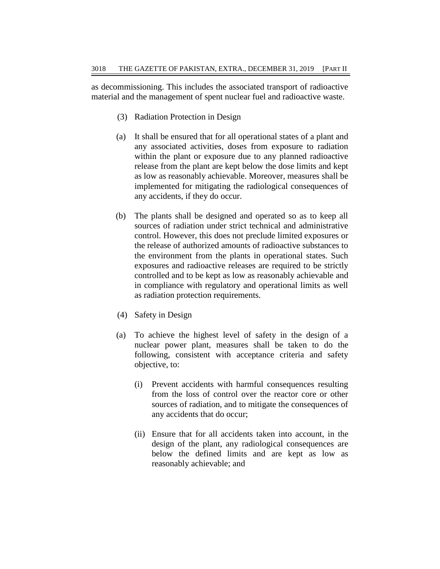as decommissioning. This includes the associated transport of radioactive material and the management of spent nuclear fuel and radioactive waste.

- (3) Radiation Protection in Design
- (a) It shall be ensured that for all operational states of a plant and any associated activities, doses from exposure to radiation within the plant or exposure due to any planned radioactive release from the plant are kept below the dose limits and kept as low as reasonably achievable. Moreover, measures shall be implemented for mitigating the radiological consequences of any accidents, if they do occur.
- (b) The plants shall be designed and operated so as to keep all sources of radiation under strict technical and administrative control. However, this does not preclude limited exposures or the release of authorized amounts of radioactive substances to the environment from the plants in operational states. Such exposures and radioactive releases are required to be strictly controlled and to be kept as low as reasonably achievable and in compliance with regulatory and operational limits as well as radiation protection requirements.
- (4) Safety in Design
- (a) To achieve the highest level of safety in the design of a nuclear power plant, measures shall be taken to do the following, consistent with acceptance criteria and safety objective, to:
	- (i) Prevent accidents with harmful consequences resulting from the loss of control over the reactor core or other sources of radiation, and to mitigate the consequences of any accidents that do occur;
	- (ii) Ensure that for all accidents taken into account, in the design of the plant, any radiological consequences are below the defined limits and are kept as low as reasonably achievable; and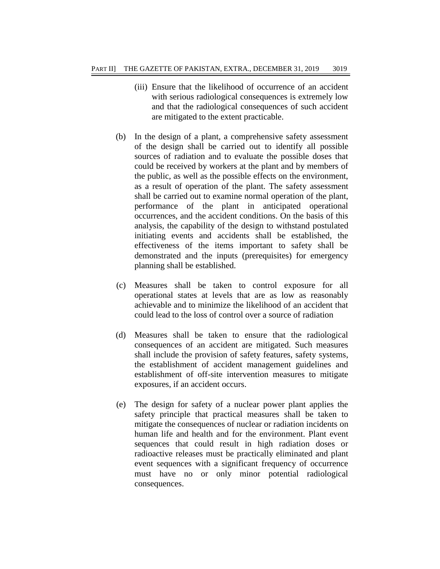- (iii) Ensure that the likelihood of occurrence of an accident with serious radiological consequences is extremely low and that the radiological consequences of such accident are mitigated to the extent practicable.
- (b) In the design of a plant, a comprehensive safety assessment of the design shall be carried out to identify all possible sources of radiation and to evaluate the possible doses that could be received by workers at the plant and by members of the public, as well as the possible effects on the environment, as a result of operation of the plant. The safety assessment shall be carried out to examine normal operation of the plant, performance of the plant in anticipated operational occurrences, and the accident conditions. On the basis of this analysis, the capability of the design to withstand postulated initiating events and accidents shall be established, the effectiveness of the items important to safety shall be demonstrated and the inputs (prerequisites) for emergency planning shall be established.
- (c) Measures shall be taken to control exposure for all operational states at levels that are as low as reasonably achievable and to minimize the likelihood of an accident that could lead to the loss of control over a source of radiation
- (d) Measures shall be taken to ensure that the radiological consequences of an accident are mitigated. Such measures shall include the provision of safety features, safety systems, the establishment of accident management guidelines and establishment of off-site intervention measures to mitigate exposures, if an accident occurs.
- (e) The design for safety of a nuclear power plant applies the safety principle that practical measures shall be taken to mitigate the consequences of nuclear or radiation incidents on human life and health and for the environment. Plant event sequences that could result in high radiation doses or radioactive releases must be practically eliminated and plant event sequences with a significant frequency of occurrence must have no or only minor potential radiological consequences.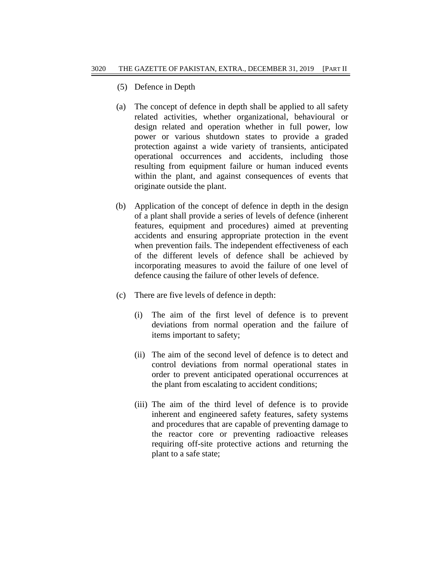- (5) Defence in Depth
- (a) The concept of defence in depth shall be applied to all safety related activities, whether organizational, behavioural or design related and operation whether in full power, low power or various shutdown states to provide a graded protection against a wide variety of transients, anticipated operational occurrences and accidents, including those resulting from equipment failure or human induced events within the plant, and against consequences of events that originate outside the plant.
- (b) Application of the concept of defence in depth in the design of a plant shall provide a series of levels of defence (inherent features, equipment and procedures) aimed at preventing accidents and ensuring appropriate protection in the event when prevention fails. The independent effectiveness of each of the different levels of defence shall be achieved by incorporating measures to avoid the failure of one level of defence causing the failure of other levels of defence.
- (c) There are five levels of defence in depth:
	- (i) The aim of the first level of defence is to prevent deviations from normal operation and the failure of items important to safety;
	- (ii) The aim of the second level of defence is to detect and control deviations from normal operational states in order to prevent anticipated operational occurrences at the plant from escalating to accident conditions;
	- (iii) The aim of the third level of defence is to provide inherent and engineered safety features, safety systems and procedures that are capable of preventing damage to the reactor core or preventing radioactive releases requiring off-site protective actions and returning the plant to a safe state;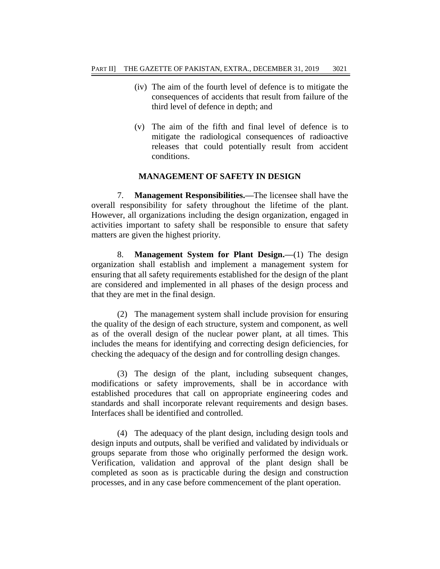- (iv) The aim of the fourth level of defence is to mitigate the consequences of accidents that result from failure of the third level of defence in depth; and
- (v) The aim of the fifth and final level of defence is to mitigate the radiological consequences of radioactive releases that could potentially result from accident conditions.

#### **MANAGEMENT OF SAFETY IN DESIGN**

7. **Management Responsibilities.—**The licensee shall have the overall responsibility for safety throughout the lifetime of the plant. However, all organizations including the design organization, engaged in activities important to safety shall be responsible to ensure that safety matters are given the highest priority.

8. **Management System for Plant Design.—**(1) The design organization shall establish and implement a management system for ensuring that all safety requirements established for the design of the plant are considered and implemented in all phases of the design process and that they are met in the final design.

(2) The management system shall include provision for ensuring the quality of the design of each structure, system and component, as well as of the overall design of the nuclear power plant, at all times. This includes the means for identifying and correcting design deficiencies, for checking the adequacy of the design and for controlling design changes.

(3) The design of the plant, including subsequent changes, modifications or safety improvements, shall be in accordance with established procedures that call on appropriate engineering codes and standards and shall incorporate relevant requirements and design bases. Interfaces shall be identified and controlled.

(4) The adequacy of the plant design, including design tools and design inputs and outputs, shall be verified and validated by individuals or groups separate from those who originally performed the design work. Verification, validation and approval of the plant design shall be completed as soon as is practicable during the design and construction processes, and in any case before commencement of the plant operation.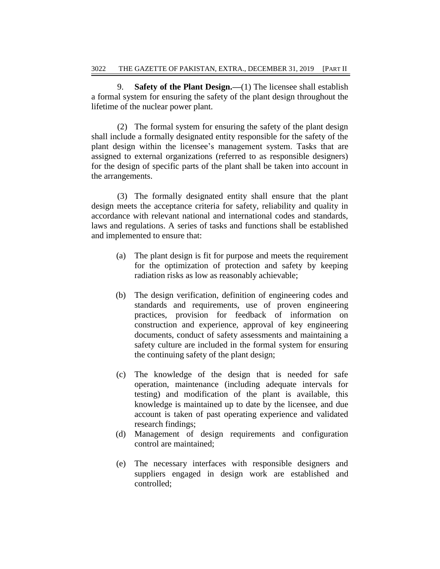9. **Safety of the Plant Design.—**(1) The licensee shall establish a formal system for ensuring the safety of the plant design throughout the lifetime of the nuclear power plant.

(2) The formal system for ensuring the safety of the plant design shall include a formally designated entity responsible for the safety of the plant design within the licensee's management system. Tasks that are assigned to external organizations (referred to as responsible designers) for the design of specific parts of the plant shall be taken into account in the arrangements.

(3) The formally designated entity shall ensure that the plant design meets the acceptance criteria for safety, reliability and quality in accordance with relevant national and international codes and standards, laws and regulations. A series of tasks and functions shall be established and implemented to ensure that:

- (a) The plant design is fit for purpose and meets the requirement for the optimization of protection and safety by keeping radiation risks as low as reasonably achievable;
- (b) The design verification, definition of engineering codes and standards and requirements, use of proven engineering practices, provision for feedback of information on construction and experience, approval of key engineering documents, conduct of safety assessments and maintaining a safety culture are included in the formal system for ensuring the continuing safety of the plant design;
- (c) The knowledge of the design that is needed for safe operation, maintenance (including adequate intervals for testing) and modification of the plant is available, this knowledge is maintained up to date by the licensee, and due account is taken of past operating experience and validated research findings;
- (d) Management of design requirements and configuration control are maintained;
- (e) The necessary interfaces with responsible designers and suppliers engaged in design work are established and controlled;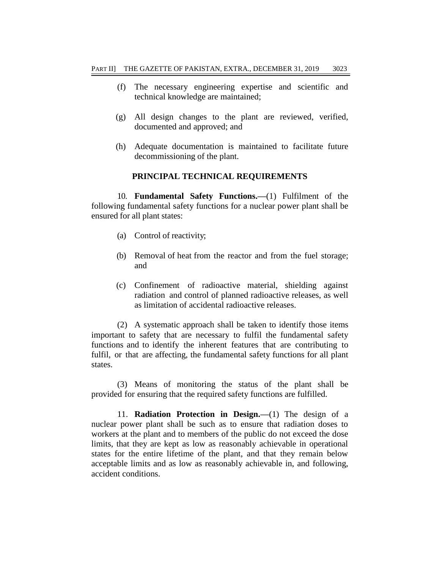- (f) The necessary engineering expertise and scientific and technical knowledge are maintained;
- (g) All design changes to the plant are reviewed, verified, documented and approved; and
- (h) Adequate documentation is maintained to facilitate future decommissioning of the plant.

#### **PRINCIPAL TECHNICAL REQUIREMENTS**

10. **Fundamental Safety Functions.—**(1) Fulfilment of the following fundamental safety functions for a nuclear power plant shall be ensured for all plant states:

- (a) Control of reactivity;
- (b) Removal of heat from the reactor and from the fuel storage; and
- (c) Confinement of radioactive material, shielding against radiation and control of planned radioactive releases, as well as limitation of accidental radioactive releases.

(2) A systematic approach shall be taken to identify those items important to safety that are necessary to fulfil the fundamental safety functions and to identify the inherent features that are contributing to fulfil, or that are affecting, the fundamental safety functions for all plant states.

(3) Means of monitoring the status of the plant shall be provided for ensuring that the required safety functions are fulfilled.

11. **Radiation Protection in Design.—**(1) The design of a nuclear power plant shall be such as to ensure that radiation doses to workers at the plant and to members of the public do not exceed the dose limits, that they are kept as low as reasonably achievable in operational states for the entire lifetime of the plant, and that they remain below acceptable limits and as low as reasonably achievable in, and following, accident conditions.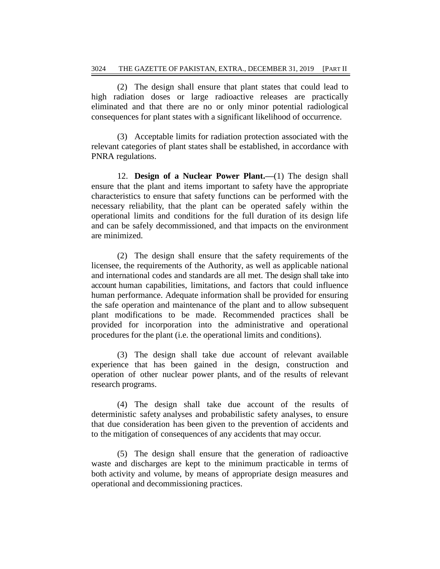(2) The design shall ensure that plant states that could lead to high radiation doses or large radioactive releases are practically eliminated and that there are no or only minor potential radiological consequences for plant states with a significant likelihood of occurrence.

(3) Acceptable limits for radiation protection associated with the relevant categories of plant states shall be established, in accordance with PNRA regulations.

12. **Design of a Nuclear Power Plant.—**(1) The design shall ensure that the plant and items important to safety have the appropriate characteristics to ensure that safety functions can be performed with the necessary reliability, that the plant can be operated safely within the operational limits and conditions for the full duration of its design life and can be safely decommissioned, and that impacts on the environment are minimized.

(2) The design shall ensure that the safety requirements of the licensee, the requirements of the Authority, as well as applicable national and international codes and standards are all met. The design shall take into account human capabilities, limitations, and factors that could influence human performance. Adequate information shall be provided for ensuring the safe operation and maintenance of the plant and to allow subsequent plant modifications to be made. Recommended practices shall be provided for incorporation into the administrative and operational procedures for the plant (i.e. the operational limits and conditions).

(3) The design shall take due account of relevant available experience that has been gained in the design, construction and operation of other nuclear power plants, and of the results of relevant research programs.

(4) The design shall take due account of the results of deterministic safety analyses and probabilistic safety analyses, to ensure that due consideration has been given to the prevention of accidents and to the mitigation of consequences of any accidents that may occur.

(5) The design shall ensure that the generation of radioactive waste and discharges are kept to the minimum practicable in terms of both activity and volume, by means of appropriate design measures and operational and decommissioning practices.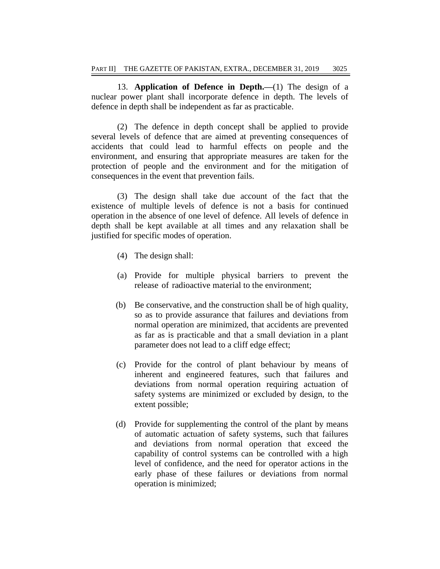13. **Application of Defence in Depth.—**(1) The design of a nuclear power plant shall incorporate defence in depth. The levels of defence in depth shall be independent as far as practicable.

(2) The defence in depth concept shall be applied to provide several levels of defence that are aimed at preventing consequences of accidents that could lead to harmful effects on people and the environment, and ensuring that appropriate measures are taken for the protection of people and the environment and for the mitigation of consequences in the event that prevention fails.

(3) The design shall take due account of the fact that the existence of multiple levels of defence is not a basis for continued operation in the absence of one level of defence. All levels of defence in depth shall be kept available at all times and any relaxation shall be justified for specific modes of operation.

- (4) The design shall:
- (a) Provide for multiple physical barriers to prevent the release of radioactive material to the environment;
- (b) Be conservative, and the construction shall be of high quality, so as to provide assurance that failures and deviations from normal operation are minimized, that accidents are prevented as far as is practicable and that a small deviation in a plant parameter does not lead to a cliff edge effect;
- (c) Provide for the control of plant behaviour by means of inherent and engineered features, such that failures and deviations from normal operation requiring actuation of safety systems are minimized or excluded by design, to the extent possible;
- (d) Provide for supplementing the control of the plant by means of automatic actuation of safety systems, such that failures and deviations from normal operation that exceed the capability of control systems can be controlled with a high level of confidence, and the need for operator actions in the early phase of these failures or deviations from normal operation is minimized;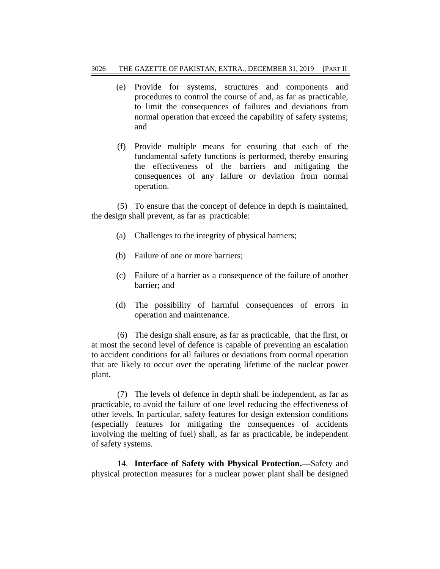- (e) Provide for systems, structures and components and procedures to control the course of and, as far as practicable, to limit the consequences of failures and deviations from normal operation that exceed the capability of safety systems; and
- (f) Provide multiple means for ensuring that each of the fundamental safety functions is performed, thereby ensuring the effectiveness of the barriers and mitigating the consequences of any failure or deviation from normal operation.

(5) To ensure that the concept of defence in depth is maintained, the design shall prevent, as far as practicable:

- (a) Challenges to the integrity of physical barriers;
- (b) Failure of one or more barriers;
- (c) Failure of a barrier as a consequence of the failure of another barrier; and
- (d) The possibility of harmful consequences of errors in operation and maintenance.

(6) The design shall ensure, as far as practicable, that the first, or at most the second level of defence is capable of preventing an escalation to accident conditions for all failures or deviations from normal operation that are likely to occur over the operating lifetime of the nuclear power plant.

(7) The levels of defence in depth shall be independent, as far as practicable, to avoid the failure of one level reducing the effectiveness of other levels. In particular, safety features for design extension conditions (especially features for mitigating the consequences of accidents involving the melting of fuel) shall, as far as practicable, be independent of safety systems.

14. **Interface of Safety with Physical Protection.—**Safety and physical protection measures for a nuclear power plant shall be designed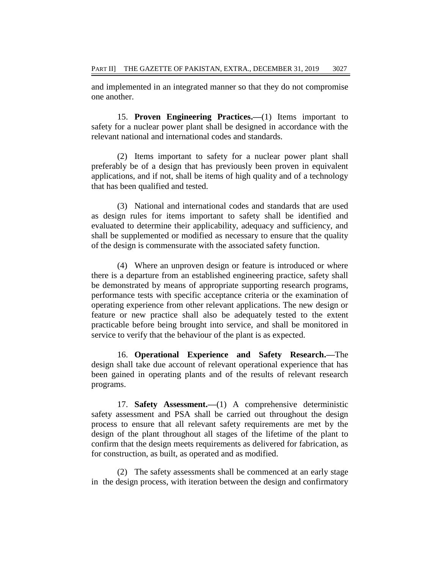and implemented in an integrated manner so that they do not compromise one another.

15. **Proven Engineering Practices.—**(1) Items important to safety for a nuclear power plant shall be designed in accordance with the relevant national and international codes and standards.

(2) Items important to safety for a nuclear power plant shall preferably be of a design that has previously been proven in equivalent applications, and if not, shall be items of high quality and of a technology that has been qualified and tested.

(3) National and international codes and standards that are used as design rules for items important to safety shall be identified and evaluated to determine their applicability, adequacy and sufficiency, and shall be supplemented or modified as necessary to ensure that the quality of the design is commensurate with the associated safety function.

(4) Where an unproven design or feature is introduced or where there is a departure from an established engineering practice, safety shall be demonstrated by means of appropriate supporting research programs, performance tests with specific acceptance criteria or the examination of operating experience from other relevant applications. The new design or feature or new practice shall also be adequately tested to the extent practicable before being brought into service, and shall be monitored in service to verify that the behaviour of the plant is as expected.

16. **Operational Experience and Safety Research.—**The design shall take due account of relevant operational experience that has been gained in operating plants and of the results of relevant research programs.

17. **Safety Assessment.—**(1) A comprehensive deterministic safety assessment and PSA shall be carried out throughout the design process to ensure that all relevant safety requirements are met by the design of the plant throughout all stages of the lifetime of the plant to confirm that the design meets requirements as delivered for fabrication, as for construction, as built, as operated and as modified.

(2) The safety assessments shall be commenced at an early stage in the design process, with iteration between the design and confirmatory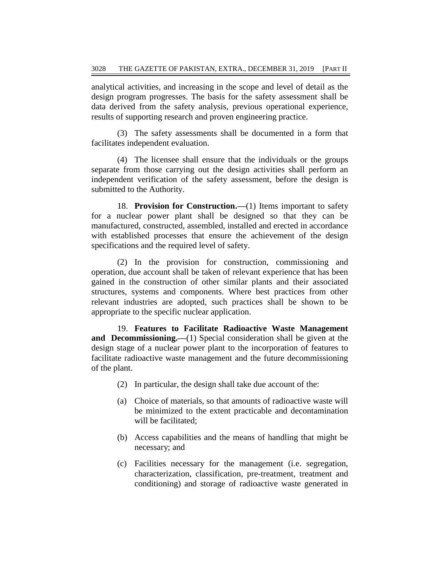analytical activities, and increasing in the scope and level of detail as the design program progresses. The basis for the safety assessment shall be data derived from the safety analysis, previous operational experience, results of supporting research and proven engineering practice.

(3) The safety assessments shall be documented in a form that facilitates independent evaluation.

(4) The licensee shall ensure that the individuals or the groups separate from those carrying out the design activities shall perform an independent verification of the safety assessment, before the design is submitted to the Authority.

18. **Provision for Construction.—**(1) Items important to safety for a nuclear power plant shall be designed so that they can be manufactured, constructed, assembled, installed and erected in accordance with established processes that ensure the achievement of the design specifications and the required level of safety.

(2) In the provision for construction, commissioning and operation, due account shall be taken of relevant experience that has been gained in the construction of other similar plants and their associated structures, systems and components. Where best practices from other relevant industries are adopted, such practices shall be shown to be appropriate to the specific nuclear application.

19. **Features to Facilitate Radioactive Waste Management and Decommissioning.—**(1) Special consideration shall be given at the design stage of a nuclear power plant to the incorporation of features to facilitate radioactive waste management and the future decommissioning of the plant.

- (2) In particular, the design shall take due account of the:
- (a) Choice of materials, so that amounts of radioactive waste will be minimized to the extent practicable and decontamination will be facilitated:
- (b) Access capabilities and the means of handling that might be necessary; and
- (c) Facilities necessary for the management (i.e. segregation, characterization, classification, pre-treatment, treatment and conditioning) and storage of radioactive waste generated in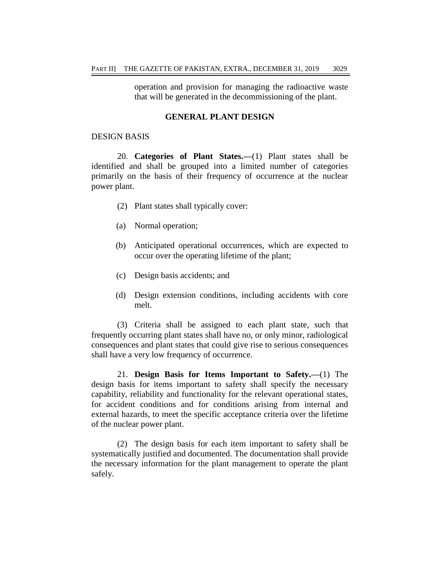operation and provision for managing the radioactive waste that will be generated in the decommissioning of the plant.

### **GENERAL PLANT DESIGN**

#### DESIGN BASIS

20. **Categories of Plant States.—**(1) Plant states shall be identified and shall be grouped into a limited number of categories primarily on the basis of their frequency of occurrence at the nuclear power plant.

- (2) Plant states shall typically cover:
- (a) Normal operation;
- (b) Anticipated operational occurrences, which are expected to occur over the operating lifetime of the plant;
- (c) Design basis accidents; and
- (d) Design extension conditions, including accidents with core melt.

(3) Criteria shall be assigned to each plant state, such that frequently occurring plant states shall have no, or only minor, radiological consequences and plant states that could give rise to serious consequences shall have a very low frequency of occurrence.

21. **Design Basis for Items Important to Safety.—**(1) The design basis for items important to safety shall specify the necessary capability, reliability and functionality for the relevant operational states, for accident conditions and for conditions arising from internal and external hazards, to meet the specific acceptance criteria over the lifetime of the nuclear power plant.

(2) The design basis for each item important to safety shall be systematically justified and documented. The documentation shall provide the necessary information for the plant management to operate the plant safely.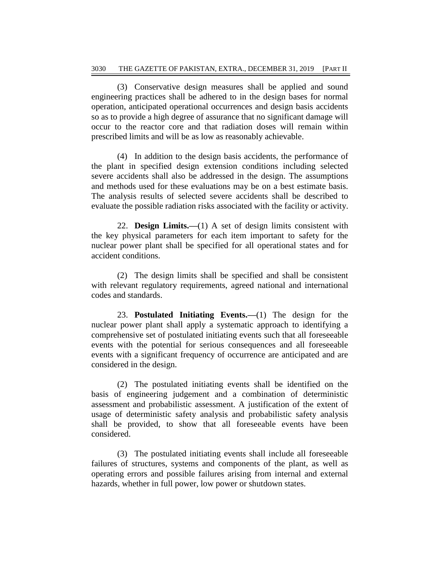(3) Conservative design measures shall be applied and sound engineering practices shall be adhered to in the design bases for normal operation, anticipated operational occurrences and design basis accidents so as to provide a high degree of assurance that no significant damage will occur to the reactor core and that radiation doses will remain within prescribed limits and will be as low as reasonably achievable.

(4) In addition to the design basis accidents, the performance of the plant in specified design extension conditions including selected severe accidents shall also be addressed in the design. The assumptions and methods used for these evaluations may be on a best estimate basis. The analysis results of selected severe accidents shall be described to evaluate the possible radiation risks associated with the facility or activity.

22. **Design Limits.—**(1) A set of design limits consistent with the key physical parameters for each item important to safety for the nuclear power plant shall be specified for all operational states and for accident conditions.

(2) The design limits shall be specified and shall be consistent with relevant regulatory requirements, agreed national and international codes and standards.

23. **Postulated Initiating Events.—**(1) The design for the nuclear power plant shall apply a systematic approach to identifying a comprehensive set of postulated initiating events such that all foreseeable events with the potential for serious consequences and all foreseeable events with a significant frequency of occurrence are anticipated and are considered in the design.

(2) The postulated initiating events shall be identified on the basis of engineering judgement and a combination of deterministic assessment and probabilistic assessment. A justification of the extent of usage of deterministic safety analysis and probabilistic safety analysis shall be provided, to show that all foreseeable events have been considered.

(3) The postulated initiating events shall include all foreseeable failures of structures, systems and components of the plant, as well as operating errors and possible failures arising from internal and external hazards, whether in full power, low power or shutdown states.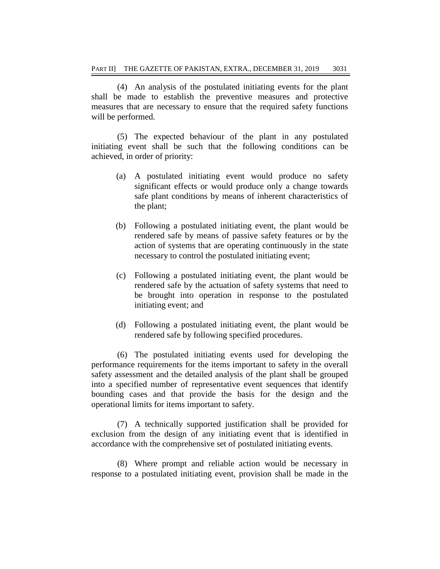(4) An analysis of the postulated initiating events for the plant shall be made to establish the preventive measures and protective measures that are necessary to ensure that the required safety functions will be performed.

(5) The expected behaviour of the plant in any postulated initiating event shall be such that the following conditions can be achieved, in order of priority:

- (a) A postulated initiating event would produce no safety significant effects or would produce only a change towards safe plant conditions by means of inherent characteristics of the plant;
- (b) Following a postulated initiating event, the plant would be rendered safe by means of passive safety features or by the action of systems that are operating continuously in the state necessary to control the postulated initiating event;
- (c) Following a postulated initiating event, the plant would be rendered safe by the actuation of safety systems that need to be brought into operation in response to the postulated initiating event; and
- (d) Following a postulated initiating event, the plant would be rendered safe by following specified procedures.

(6) The postulated initiating events used for developing the performance requirements for the items important to safety in the overall safety assessment and the detailed analysis of the plant shall be grouped into a specified number of representative event sequences that identify bounding cases and that provide the basis for the design and the operational limits for items important to safety.

(7) A technically supported justification shall be provided for exclusion from the design of any initiating event that is identified in accordance with the comprehensive set of postulated initiating events.

(8) Where prompt and reliable action would be necessary in response to a postulated initiating event, provision shall be made in the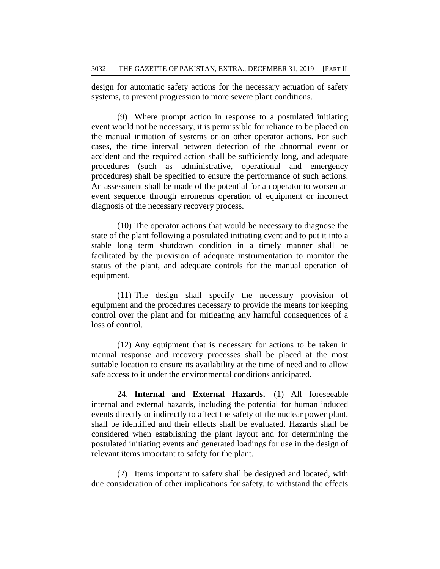design for automatic safety actions for the necessary actuation of safety systems, to prevent progression to more severe plant conditions.

(9) Where prompt action in response to a postulated initiating event would not be necessary, it is permissible for reliance to be placed on the manual initiation of systems or on other operator actions. For such cases, the time interval between detection of the abnormal event or accident and the required action shall be sufficiently long, and adequate procedures (such as administrative, operational and emergency procedures) shall be specified to ensure the performance of such actions. An assessment shall be made of the potential for an operator to worsen an event sequence through erroneous operation of equipment or incorrect diagnosis of the necessary recovery process.

(10) The operator actions that would be necessary to diagnose the state of the plant following a postulated initiating event and to put it into a stable long term shutdown condition in a timely manner shall be facilitated by the provision of adequate instrumentation to monitor the status of the plant, and adequate controls for the manual operation of equipment.

(11) The design shall specify the necessary provision of equipment and the procedures necessary to provide the means for keeping control over the plant and for mitigating any harmful consequences of a loss of control.

(12) Any equipment that is necessary for actions to be taken in manual response and recovery processes shall be placed at the most suitable location to ensure its availability at the time of need and to allow safe access to it under the environmental conditions anticipated.

24. **Internal and External Hazards.—**(1) All foreseeable internal and external hazards, including the potential for human induced events directly or indirectly to affect the safety of the nuclear power plant, shall be identified and their effects shall be evaluated. Hazards shall be considered when establishing the plant layout and for determining the postulated initiating events and generated loadings for use in the design of relevant items important to safety for the plant.

(2) Items important to safety shall be designed and located, with due consideration of other implications for safety, to withstand the effects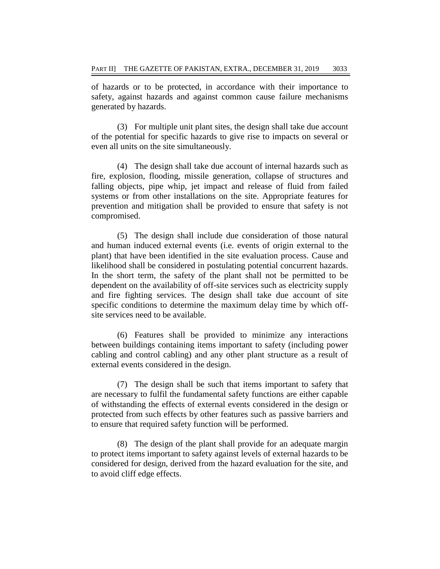of hazards or to be protected, in accordance with their importance to safety, against hazards and against common cause failure mechanisms generated by hazards.

(3) For multiple unit plant sites, the design shall take due account of the potential for specific hazards to give rise to impacts on several or even all units on the site simultaneously.

(4) The design shall take due account of internal hazards such as fire, explosion, flooding, missile generation, collapse of structures and falling objects, pipe whip, jet impact and release of fluid from failed systems or from other installations on the site. Appropriate features for prevention and mitigation shall be provided to ensure that safety is not compromised.

(5) The design shall include due consideration of those natural and human induced external events (i.e. events of origin external to the plant) that have been identified in the site evaluation process. Cause and likelihood shall be considered in postulating potential concurrent hazards. In the short term, the safety of the plant shall not be permitted to be dependent on the availability of off-site services such as electricity supply and fire fighting services. The design shall take due account of site specific conditions to determine the maximum delay time by which offsite services need to be available.

(6) Features shall be provided to minimize any interactions between buildings containing items important to safety (including power cabling and control cabling) and any other plant structure as a result of external events considered in the design.

(7) The design shall be such that items important to safety that are necessary to fulfil the fundamental safety functions are either capable of withstanding the effects of external events considered in the design or protected from such effects by other features such as passive barriers and to ensure that required safety function will be performed.

(8) The design of the plant shall provide for an adequate margin to protect items important to safety against levels of external hazards to be considered for design, derived from the hazard evaluation for the site, and to avoid cliff edge effects.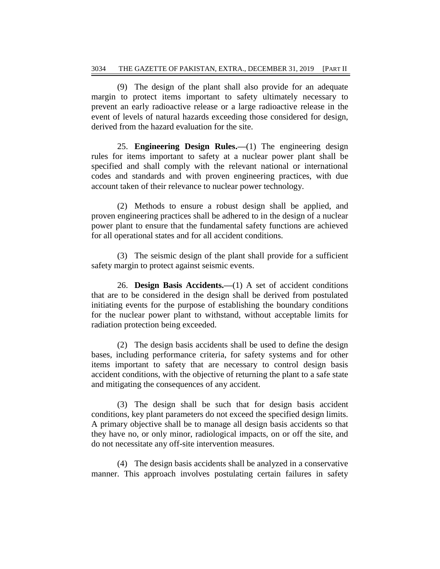(9) The design of the plant shall also provide for an adequate margin to protect items important to safety ultimately necessary to prevent an early radioactive release or a large radioactive release in the event of levels of natural hazards exceeding those considered for design, derived from the hazard evaluation for the site.

25. **Engineering Design Rules.—**(1) The engineering design rules for items important to safety at a nuclear power plant shall be specified and shall comply with the relevant national or international codes and standards and with proven engineering practices, with due account taken of their relevance to nuclear power technology.

(2) Methods to ensure a robust design shall be applied, and proven engineering practices shall be adhered to in the design of a nuclear power plant to ensure that the fundamental safety functions are achieved for all operational states and for all accident conditions.

(3) The seismic design of the plant shall provide for a sufficient safety margin to protect against seismic events.

26. **Design Basis Accidents.—**(1) A set of accident conditions that are to be considered in the design shall be derived from postulated initiating events for the purpose of establishing the boundary conditions for the nuclear power plant to withstand, without acceptable limits for radiation protection being exceeded.

(2) The design basis accidents shall be used to define the design bases, including performance criteria, for safety systems and for other items important to safety that are necessary to control design basis accident conditions, with the objective of returning the plant to a safe state and mitigating the consequences of any accident.

(3) The design shall be such that for design basis accident conditions, key plant parameters do not exceed the specified design limits. A primary objective shall be to manage all design basis accidents so that they have no, or only minor, radiological impacts, on or off the site, and do not necessitate any off-site intervention measures.

(4) The design basis accidents shall be analyzed in a conservative manner. This approach involves postulating certain failures in safety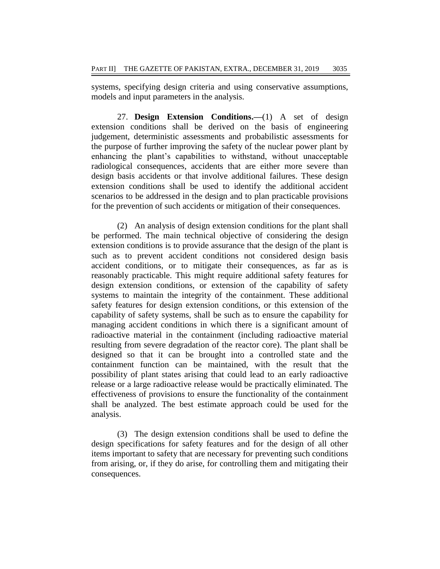systems, specifying design criteria and using conservative assumptions, models and input parameters in the analysis.

27. **Design Extension Conditions.—**(1) A set of design extension conditions shall be derived on the basis of engineering judgement, deterministic assessments and probabilistic assessments for the purpose of further improving the safety of the nuclear power plant by enhancing the plant's capabilities to withstand, without unacceptable radiological consequences, accidents that are either more severe than design basis accidents or that involve additional failures. These design extension conditions shall be used to identify the additional accident scenarios to be addressed in the design and to plan practicable provisions for the prevention of such accidents or mitigation of their consequences.

(2) An analysis of design extension conditions for the plant shall be performed. The main technical objective of considering the design extension conditions is to provide assurance that the design of the plant is such as to prevent accident conditions not considered design basis accident conditions, or to mitigate their consequences, as far as is reasonably practicable. This might require additional safety features for design extension conditions, or extension of the capability of safety systems to maintain the integrity of the containment. These additional safety features for design extension conditions, or this extension of the capability of safety systems, shall be such as to ensure the capability for managing accident conditions in which there is a significant amount of radioactive material in the containment (including radioactive material resulting from severe degradation of the reactor core). The plant shall be designed so that it can be brought into a controlled state and the containment function can be maintained, with the result that the possibility of plant states arising that could lead to an early radioactive release or a large radioactive release would be practically eliminated. The effectiveness of provisions to ensure the functionality of the containment shall be analyzed. The best estimate approach could be used for the analysis.

(3) The design extension conditions shall be used to define the design specifications for safety features and for the design of all other items important to safety that are necessary for preventing such conditions from arising, or, if they do arise, for controlling them and mitigating their consequences.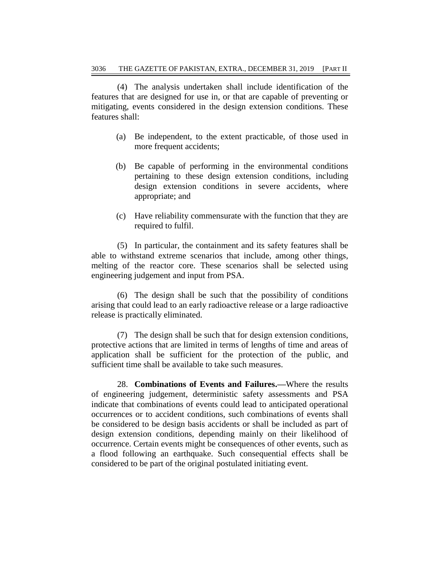(4) The analysis undertaken shall include identification of the features that are designed for use in, or that are capable of preventing or mitigating, events considered in the design extension conditions. These features shall:

- (a) Be independent, to the extent practicable, of those used in more frequent accidents;
- (b) Be capable of performing in the environmental conditions pertaining to these design extension conditions, including design extension conditions in severe accidents, where appropriate; and
- (c) Have reliability commensurate with the function that they are required to fulfil.

(5) In particular, the containment and its safety features shall be able to withstand extreme scenarios that include, among other things, melting of the reactor core. These scenarios shall be selected using engineering judgement and input from PSA.

(6) The design shall be such that the possibility of conditions arising that could lead to an early radioactive release or a large radioactive release is practically eliminated.

(7) The design shall be such that for design extension conditions, protective actions that are limited in terms of lengths of time and areas of application shall be sufficient for the protection of the public, and sufficient time shall be available to take such measures.

28. **Combinations of Events and Failures.—**Where the results of engineering judgement, deterministic safety assessments and PSA indicate that combinations of events could lead to anticipated operational occurrences or to accident conditions, such combinations of events shall be considered to be design basis accidents or shall be included as part of design extension conditions, depending mainly on their likelihood of occurrence. Certain events might be consequences of other events, such as a flood following an earthquake. Such consequential effects shall be considered to be part of the original postulated initiating event.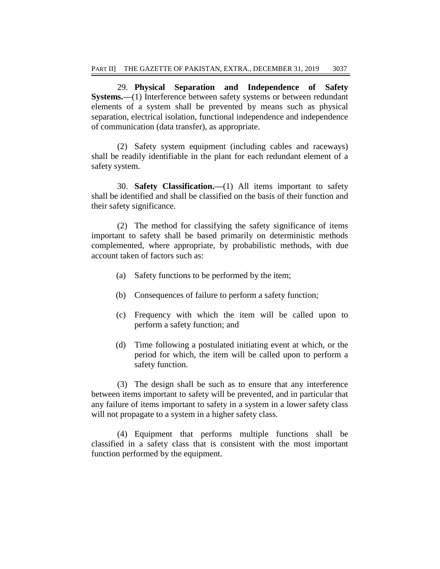29. **Physical Separation and Independence of Safety Systems.—**(1) Interference between safety systems or between redundant elements of a system shall be prevented by means such as physical separation, electrical isolation, functional independence and independence of communication (data transfer), as appropriate.

(2) Safety system equipment (including cables and raceways) shall be readily identifiable in the plant for each redundant element of a safety system.

30. **Safety Classification.—**(1) All items important to safety shall be identified and shall be classified on the basis of their function and their safety significance.

(2) The method for classifying the safety significance of items important to safety shall be based primarily on deterministic methods complemented, where appropriate, by probabilistic methods, with due account taken of factors such as:

- (a) Safety functions to be performed by the item;
- (b) Consequences of failure to perform a safety function;
- (c) Frequency with which the item will be called upon to perform a safety function; and
- (d) Time following a postulated initiating event at which, or the period for which, the item will be called upon to perform a safety function.

(3) The design shall be such as to ensure that any interference between items important to safety will be prevented, and in particular that any failure of items important to safety in a system in a lower safety class will not propagate to a system in a higher safety class.

(4) Equipment that performs multiple functions shall be classified in a safety class that is consistent with the most important function performed by the equipment.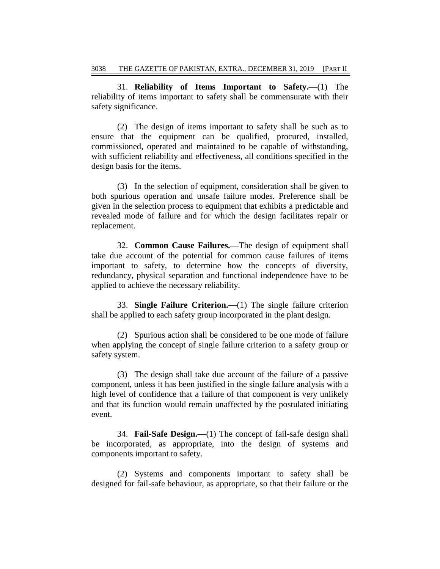31. **Reliability of Items Important to Safety.**—(1) The reliability of items important to safety shall be commensurate with their safety significance.

(2) The design of items important to safety shall be such as to ensure that the equipment can be qualified, procured, installed, commissioned, operated and maintained to be capable of withstanding, with sufficient reliability and effectiveness, all conditions specified in the design basis for the items.

(3) In the selection of equipment, consideration shall be given to both spurious operation and unsafe failure modes. Preference shall be given in the selection process to equipment that exhibits a predictable and revealed mode of failure and for which the design facilitates repair or replacement.

32. **Common Cause Failures.—**The design of equipment shall take due account of the potential for common cause failures of items important to safety, to determine how the concepts of diversity, redundancy, physical separation and functional independence have to be applied to achieve the necessary reliability.

33. **Single Failure Criterion.—**(1) The single failure criterion shall be applied to each safety group incorporated in the plant design.

(2) Spurious action shall be considered to be one mode of failure when applying the concept of single failure criterion to a safety group or safety system.

(3) The design shall take due account of the failure of a passive component, unless it has been justified in the single failure analysis with a high level of confidence that a failure of that component is very unlikely and that its function would remain unaffected by the postulated initiating event.

34. **Fail-Safe Design.—**(1) The concept of fail-safe design shall be incorporated, as appropriate, into the design of systems and components important to safety.

(2) Systems and components important to safety shall be designed for fail-safe behaviour, as appropriate, so that their failure or the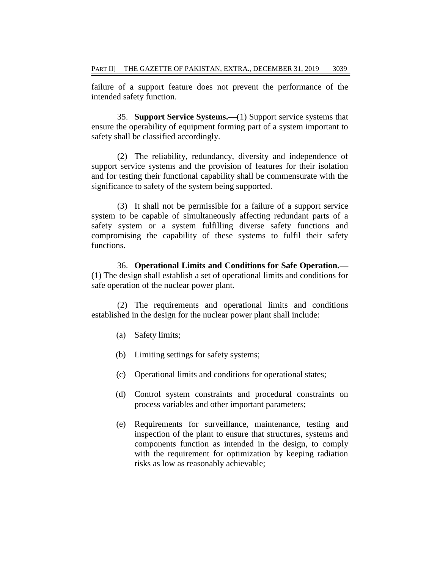failure of a support feature does not prevent the performance of the intended safety function.

35. **Support Service Systems.—**(1) Support service systems that ensure the operability of equipment forming part of a system important to safety shall be classified accordingly.

(2) The reliability, redundancy, diversity and independence of support service systems and the provision of features for their isolation and for testing their functional capability shall be commensurate with the significance to safety of the system being supported.

(3) It shall not be permissible for a failure of a support service system to be capable of simultaneously affecting redundant parts of a safety system or a system fulfilling diverse safety functions and compromising the capability of these systems to fulfil their safety functions.

36. **Operational Limits and Conditions for Safe Operation.—** (1) The design shall establish a set of operational limits and conditions for safe operation of the nuclear power plant.

(2) The requirements and operational limits and conditions established in the design for the nuclear power plant shall include:

- (a) Safety limits;
- (b) Limiting settings for safety systems;
- (c) Operational limits and conditions for operational states;
- (d) Control system constraints and procedural constraints on process variables and other important parameters;
- (e) Requirements for surveillance, maintenance, testing and inspection of the plant to ensure that structures, systems and components function as intended in the design, to comply with the requirement for optimization by keeping radiation risks as low as reasonably achievable;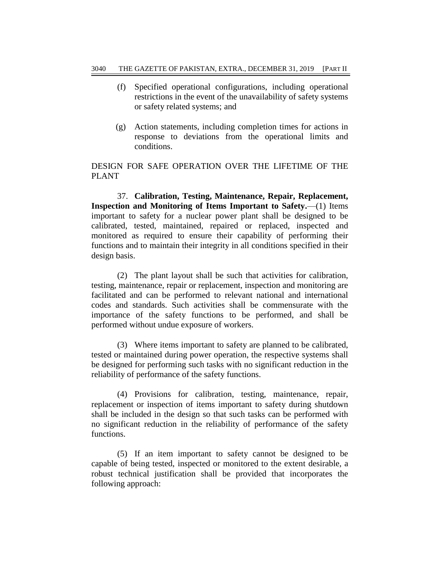- (f) Specified operational configurations, including operational restrictions in the event of the unavailability of safety systems or safety related systems; and
- (g) Action statements, including completion times for actions in response to deviations from the operational limits and conditions.

# DESIGN FOR SAFE OPERATION OVER THE LIFETIME OF THE PLANT

37. **Calibration, Testing, Maintenance, Repair, Replacement, Inspection and Monitoring of Items Important to Safety.**—(1) Items important to safety for a nuclear power plant shall be designed to be calibrated, tested, maintained, repaired or replaced, inspected and monitored as required to ensure their capability of performing their functions and to maintain their integrity in all conditions specified in their design basis.

(2) The plant layout shall be such that activities for calibration, testing, maintenance, repair or replacement, inspection and monitoring are facilitated and can be performed to relevant national and international codes and standards. Such activities shall be commensurate with the importance of the safety functions to be performed, and shall be performed without undue exposure of workers.

(3) Where items important to safety are planned to be calibrated, tested or maintained during power operation, the respective systems shall be designed for performing such tasks with no significant reduction in the reliability of performance of the safety functions.

(4) Provisions for calibration, testing, maintenance, repair, replacement or inspection of items important to safety during shutdown shall be included in the design so that such tasks can be performed with no significant reduction in the reliability of performance of the safety functions.

(5) If an item important to safety cannot be designed to be capable of being tested, inspected or monitored to the extent desirable, a robust technical justification shall be provided that incorporates the following approach: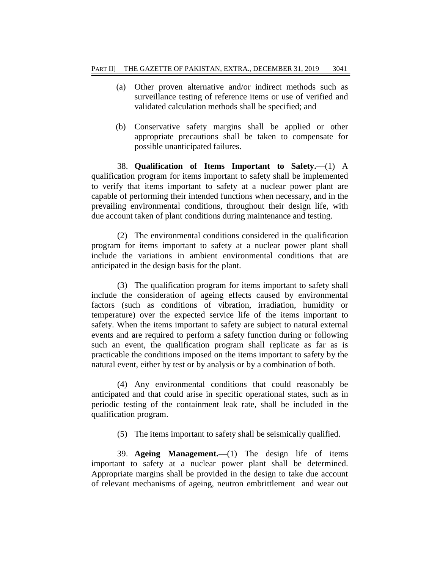- (a) Other proven alternative and/or indirect methods such as surveillance testing of reference items or use of verified and validated calculation methods shall be specified; and
- (b) Conservative safety margins shall be applied or other appropriate precautions shall be taken to compensate for possible unanticipated failures.

38. **Qualification of Items Important to Safety.**—(1) A qualification program for items important to safety shall be implemented to verify that items important to safety at a nuclear power plant are capable of performing their intended functions when necessary, and in the prevailing environmental conditions, throughout their design life, with due account taken of plant conditions during maintenance and testing.

(2) The environmental conditions considered in the qualification program for items important to safety at a nuclear power plant shall include the variations in ambient environmental conditions that are anticipated in the design basis for the plant.

(3) The qualification program for items important to safety shall include the consideration of ageing effects caused by environmental factors (such as conditions of vibration, irradiation, humidity or temperature) over the expected service life of the items important to safety. When the items important to safety are subject to natural external events and are required to perform a safety function during or following such an event, the qualification program shall replicate as far as is practicable the conditions imposed on the items important to safety by the natural event, either by test or by analysis or by a combination of both.

(4) Any environmental conditions that could reasonably be anticipated and that could arise in specific operational states, such as in periodic testing of the containment leak rate, shall be included in the qualification program.

(5) The items important to safety shall be seismically qualified.

39. **Ageing Management.—**(1) The design life of items important to safety at a nuclear power plant shall be determined. Appropriate margins shall be provided in the design to take due account of relevant mechanisms of ageing, neutron embrittlement and wear out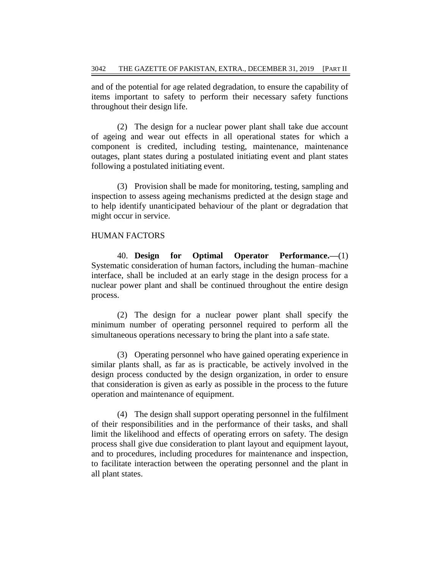and of the potential for age related degradation, to ensure the capability of items important to safety to perform their necessary safety functions throughout their design life.

(2) The design for a nuclear power plant shall take due account of ageing and wear out effects in all operational states for which a component is credited, including testing, maintenance, maintenance outages, plant states during a postulated initiating event and plant states following a postulated initiating event.

(3) Provision shall be made for monitoring, testing, sampling and inspection to assess ageing mechanisms predicted at the design stage and to help identify unanticipated behaviour of the plant or degradation that might occur in service.

#### HUMAN FACTORS

40. **Design for Optimal Operator Performance.—**(1) Systematic consideration of human factors, including the human–machine interface, shall be included at an early stage in the design process for a nuclear power plant and shall be continued throughout the entire design process.

(2) The design for a nuclear power plant shall specify the minimum number of operating personnel required to perform all the simultaneous operations necessary to bring the plant into a safe state.

(3) Operating personnel who have gained operating experience in similar plants shall, as far as is practicable, be actively involved in the design process conducted by the design organization, in order to ensure that consideration is given as early as possible in the process to the future operation and maintenance of equipment.

(4) The design shall support operating personnel in the fulfilment of their responsibilities and in the performance of their tasks, and shall limit the likelihood and effects of operating errors on safety. The design process shall give due consideration to plant layout and equipment layout, and to procedures, including procedures for maintenance and inspection, to facilitate interaction between the operating personnel and the plant in all plant states.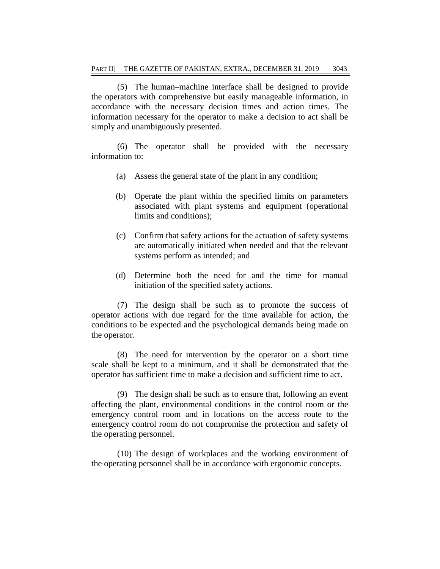(5) The human–machine interface shall be designed to provide the operators with comprehensive but easily manageable information, in accordance with the necessary decision times and action times. The information necessary for the operator to make a decision to act shall be simply and unambiguously presented.

(6) The operator shall be provided with the necessary information to:

- (a) Assess the general state of the plant in any condition;
- (b) Operate the plant within the specified limits on parameters associated with plant systems and equipment (operational limits and conditions);
- (c) Confirm that safety actions for the actuation of safety systems are automatically initiated when needed and that the relevant systems perform as intended; and
- (d) Determine both the need for and the time for manual initiation of the specified safety actions.

(7) The design shall be such as to promote the success of operator actions with due regard for the time available for action, the conditions to be expected and the psychological demands being made on the operator.

(8) The need for intervention by the operator on a short time scale shall be kept to a minimum, and it shall be demonstrated that the operator has sufficient time to make a decision and sufficient time to act.

(9) The design shall be such as to ensure that, following an event affecting the plant, environmental conditions in the control room or the emergency control room and in locations on the access route to the emergency control room do not compromise the protection and safety of the operating personnel.

(10) The design of workplaces and the working environment of the operating personnel shall be in accordance with ergonomic concepts.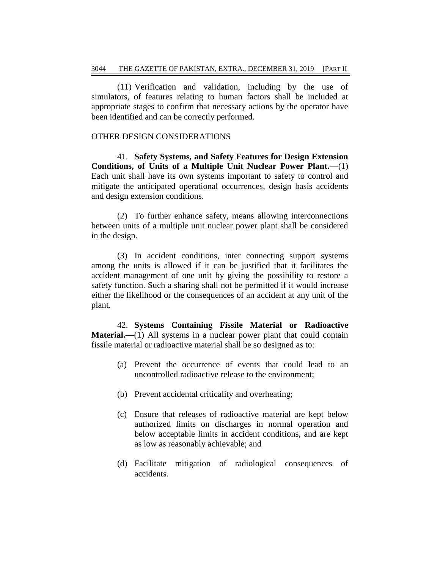(11) Verification and validation, including by the use of simulators, of features relating to human factors shall be included at appropriate stages to confirm that necessary actions by the operator have been identified and can be correctly performed.

### OTHER DESIGN CONSIDERATIONS

41. **Safety Systems, and Safety Features for Design Extension Conditions, of Units of a Multiple Unit Nuclear Power Plant.—**(1) Each unit shall have its own systems important to safety to control and mitigate the anticipated operational occurrences, design basis accidents and design extension conditions.

(2) To further enhance safety, means allowing interconnections between units of a multiple unit nuclear power plant shall be considered in the design.

(3) In accident conditions, inter connecting support systems among the units is allowed if it can be justified that it facilitates the accident management of one unit by giving the possibility to restore a safety function. Such a sharing shall not be permitted if it would increase either the likelihood or the consequences of an accident at any unit of the plant.

42. **Systems Containing Fissile Material or Radioactive Material.—(1)** All systems in a nuclear power plant that could contain fissile material or radioactive material shall be so designed as to:

- (a) Prevent the occurrence of events that could lead to an uncontrolled radioactive release to the environment;
- (b) Prevent accidental criticality and overheating;
- (c) Ensure that releases of radioactive material are kept below authorized limits on discharges in normal operation and below acceptable limits in accident conditions, and are kept as low as reasonably achievable; and
- (d) Facilitate mitigation of radiological consequences of accidents.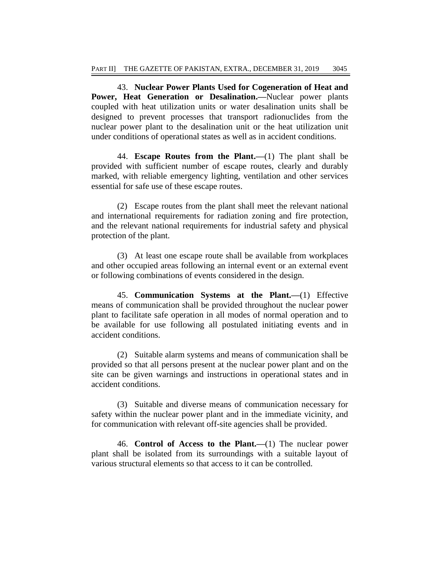43. **Nuclear Power Plants Used for Cogeneration of Heat and Power, Heat Generation or Desalination.—**Nuclear power plants coupled with heat utilization units or water desalination units shall be designed to prevent processes that transport radionuclides from the nuclear power plant to the desalination unit or the heat utilization unit under conditions of operational states as well as in accident conditions.

44. **Escape Routes from the Plant.—**(1) The plant shall be provided with sufficient number of escape routes, clearly and durably marked, with reliable emergency lighting, ventilation and other services essential for safe use of these escape routes.

(2) Escape routes from the plant shall meet the relevant national and international requirements for radiation zoning and fire protection, and the relevant national requirements for industrial safety and physical protection of the plant.

(3) At least one escape route shall be available from workplaces and other occupied areas following an internal event or an external event or following combinations of events considered in the design.

45. **Communication Systems at the Plant.—**(1) Effective means of communication shall be provided throughout the nuclear power plant to facilitate safe operation in all modes of normal operation and to be available for use following all postulated initiating events and in accident conditions.

(2) Suitable alarm systems and means of communication shall be provided so that all persons present at the nuclear power plant and on the site can be given warnings and instructions in operational states and in accident conditions.

(3) Suitable and diverse means of communication necessary for safety within the nuclear power plant and in the immediate vicinity, and for communication with relevant off-site agencies shall be provided.

46. **Control of Access to the Plant.—**(1) The nuclear power plant shall be isolated from its surroundings with a suitable layout of various structural elements so that access to it can be controlled.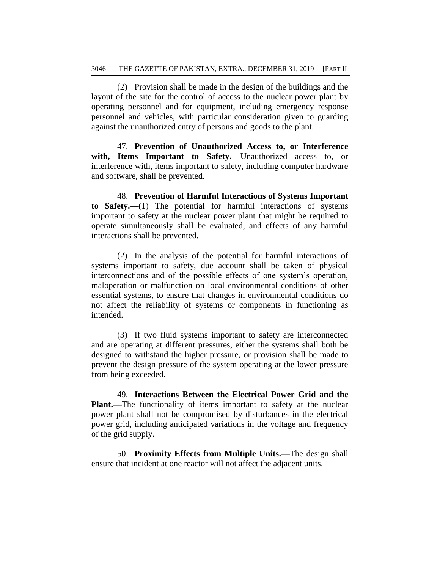(2) Provision shall be made in the design of the buildings and the layout of the site for the control of access to the nuclear power plant by operating personnel and for equipment, including emergency response personnel and vehicles, with particular consideration given to guarding against the unauthorized entry of persons and goods to the plant.

47. **Prevention of Unauthorized Access to, or Interference**  with, Items Important to Safety.—Unauthorized access to, or interference with, items important to safety, including computer hardware and software, shall be prevented.

48. **Prevention of Harmful Interactions of Systems Important to Safety.—**(1) The potential for harmful interactions of systems important to safety at the nuclear power plant that might be required to operate simultaneously shall be evaluated, and effects of any harmful interactions shall be prevented.

(2) In the analysis of the potential for harmful interactions of systems important to safety, due account shall be taken of physical interconnections and of the possible effects of one system's operation, maloperation or malfunction on local environmental conditions of other essential systems, to ensure that changes in environmental conditions do not affect the reliability of systems or components in functioning as intended.

(3) If two fluid systems important to safety are interconnected and are operating at different pressures, either the systems shall both be designed to withstand the higher pressure, or provision shall be made to prevent the design pressure of the system operating at the lower pressure from being exceeded.

49. **Interactions Between the Electrical Power Grid and the Plant.—The functionality of items important to safety at the nuclear** power plant shall not be compromised by disturbances in the electrical power grid, including anticipated variations in the voltage and frequency of the grid supply.

50. **Proximity Effects from Multiple Units.—**The design shall ensure that incident at one reactor will not affect the adjacent units.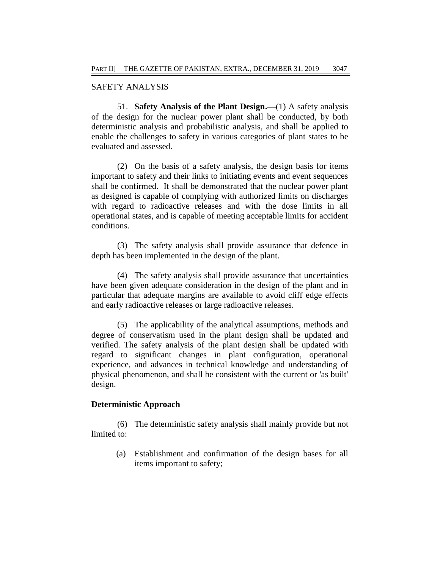## SAFETY ANALYSIS

51. **Safety Analysis of the Plant Design.—**(1) A safety analysis of the design for the nuclear power plant shall be conducted, by both deterministic analysis and probabilistic analysis, and shall be applied to enable the challenges to safety in various categories of plant states to be evaluated and assessed.

(2) On the basis of a safety analysis, the design basis for items important to safety and their links to initiating events and event sequences shall be confirmed. It shall be demonstrated that the nuclear power plant as designed is capable of complying with authorized limits on discharges with regard to radioactive releases and with the dose limits in all operational states, and is capable of meeting acceptable limits for accident conditions.

(3) The safety analysis shall provide assurance that defence in depth has been implemented in the design of the plant.

(4) The safety analysis shall provide assurance that uncertainties have been given adequate consideration in the design of the plant and in particular that adequate margins are available to avoid cliff edge effects and early radioactive releases or large radioactive releases.

(5) The applicability of the analytical assumptions, methods and degree of conservatism used in the plant design shall be updated and verified. The safety analysis of the plant design shall be updated with regard to significant changes in plant configuration, operational experience, and advances in technical knowledge and understanding of physical phenomenon, and shall be consistent with the current or 'as built' design.

### **Deterministic Approach**

(6) The deterministic safety analysis shall mainly provide but not limited to:

(a) Establishment and confirmation of the design bases for all items important to safety;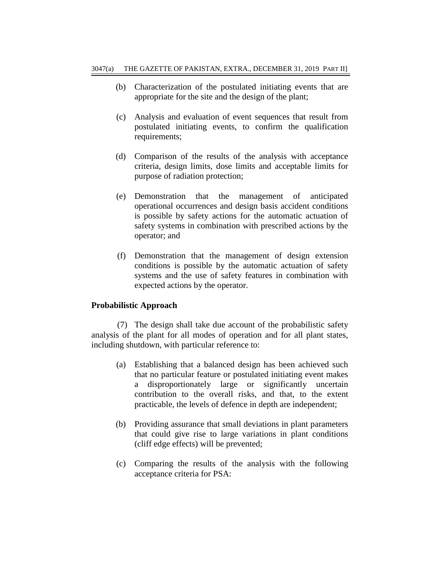- (b) Characterization of the postulated initiating events that are appropriate for the site and the design of the plant;
- (c) Analysis and evaluation of event sequences that result from postulated initiating events, to confirm the qualification requirements;
- (d) Comparison of the results of the analysis with acceptance criteria, design limits, dose limits and acceptable limits for purpose of radiation protection;
- (e) Demonstration that the management of anticipated operational occurrences and design basis accident conditions is possible by safety actions for the automatic actuation of safety systems in combination with prescribed actions by the operator; and
- (f) Demonstration that the management of design extension conditions is possible by the automatic actuation of safety systems and the use of safety features in combination with expected actions by the operator.

# **Probabilistic Approach**

(7) The design shall take due account of the probabilistic safety analysis of the plant for all modes of operation and for all plant states, including shutdown, with particular reference to:

- (a) Establishing that a balanced design has been achieved such that no particular feature or postulated initiating event makes a disproportionately large or significantly uncertain contribution to the overall risks, and that, to the extent practicable, the levels of defence in depth are independent;
- (b) Providing assurance that small deviations in plant parameters that could give rise to large variations in plant conditions (cliff edge effects) will be prevented;
- (c) Comparing the results of the analysis with the following acceptance criteria for PSA: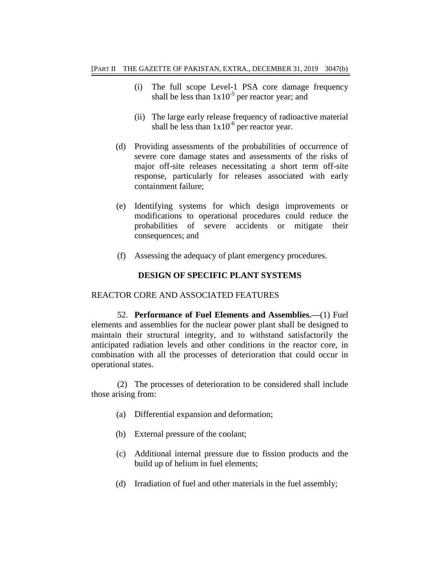- (i) The full scope Level-1 PSA core damage frequency shall be less than  $1x10^{-5}$  per reactor year; and
- (ii) The large early release frequency of radioactive material shall be less than  $1x10^{-6}$  per reactor year.
- (d) Providing assessments of the probabilities of occurrence of severe core damage states and assessments of the risks of major off-site releases necessitating a short term off-site response, particularly for releases associated with early containment failure;
- (e) Identifying systems for which design improvements or modifications to operational procedures could reduce the probabilities of severe accidents or mitigate their consequences; and
- (f) Assessing the adequacy of plant emergency procedures.

# **DESIGN OF SPECIFIC PLANT SYSTEMS**

### REACTOR CORE AND ASSOCIATED FEATURES

52. **Performance of Fuel Elements and Assemblies.—**(1) Fuel elements and assemblies for the nuclear power plant shall be designed to maintain their structural integrity, and to withstand satisfactorily the anticipated radiation levels and other conditions in the reactor core, in combination with all the processes of deterioration that could occur in operational states.

(2) The processes of deterioration to be considered shall include those arising from:

- (a) Differential expansion and deformation;
- (b) External pressure of the coolant;
- (c) Additional internal pressure due to fission products and the build up of helium in fuel elements;
- (d) Irradiation of fuel and other materials in the fuel assembly;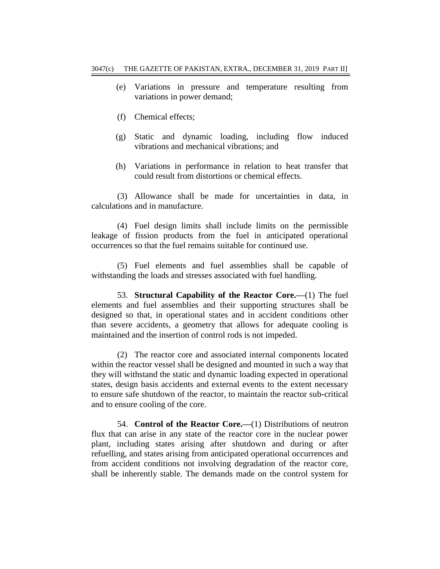- (e) Variations in pressure and temperature resulting from variations in power demand;
- (f) Chemical effects;
- (g) Static and dynamic loading, including flow induced vibrations and mechanical vibrations; and
- (h) Variations in performance in relation to heat transfer that could result from distortions or chemical effects.

(3) Allowance shall be made for uncertainties in data, in calculations and in manufacture.

(4) Fuel design limits shall include limits on the permissible leakage of fission products from the fuel in anticipated operational occurrences so that the fuel remains suitable for continued use.

(5) Fuel elements and fuel assemblies shall be capable of withstanding the loads and stresses associated with fuel handling.

53. **Structural Capability of the Reactor Core.—**(1) The fuel elements and fuel assemblies and their supporting structures shall be designed so that, in operational states and in accident conditions other than severe accidents, a geometry that allows for adequate cooling is maintained and the insertion of control rods is not impeded.

(2) The reactor core and associated internal components located within the reactor vessel shall be designed and mounted in such a way that they will withstand the static and dynamic loading expected in operational states, design basis accidents and external events to the extent necessary to ensure safe shutdown of the reactor, to maintain the reactor sub-critical and to ensure cooling of the core.

54. **Control of the Reactor Core.—**(1) Distributions of neutron flux that can arise in any state of the reactor core in the nuclear power plant, including states arising after shutdown and during or after refuelling, and states arising from anticipated operational occurrences and from accident conditions not involving degradation of the reactor core, shall be inherently stable. The demands made on the control system for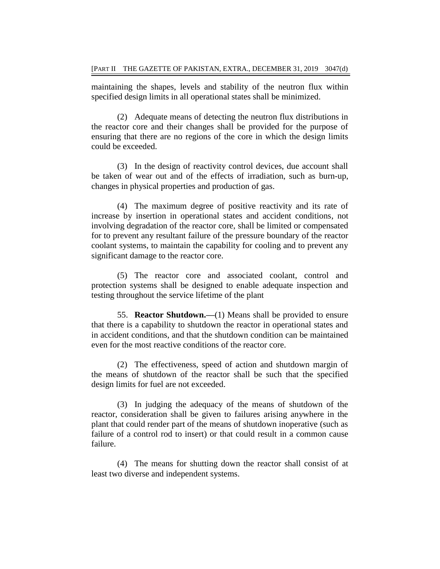maintaining the shapes, levels and stability of the neutron flux within specified design limits in all operational states shall be minimized.

(2) Adequate means of detecting the neutron flux distributions in the reactor core and their changes shall be provided for the purpose of ensuring that there are no regions of the core in which the design limits could be exceeded.

(3) In the design of reactivity control devices, due account shall be taken of wear out and of the effects of irradiation, such as burn-up, changes in physical properties and production of gas.

(4) The maximum degree of positive reactivity and its rate of increase by insertion in operational states and accident conditions, not involving degradation of the reactor core, shall be limited or compensated for to prevent any resultant failure of the pressure boundary of the reactor coolant systems, to maintain the capability for cooling and to prevent any significant damage to the reactor core.

(5) The reactor core and associated coolant, control and protection systems shall be designed to enable adequate inspection and testing throughout the service lifetime of the plant

55. **Reactor Shutdown.—**(1) Means shall be provided to ensure that there is a capability to shutdown the reactor in operational states and in accident conditions, and that the shutdown condition can be maintained even for the most reactive conditions of the reactor core.

(2) The effectiveness, speed of action and shutdown margin of the means of shutdown of the reactor shall be such that the specified design limits for fuel are not exceeded.

(3) In judging the adequacy of the means of shutdown of the reactor, consideration shall be given to failures arising anywhere in the plant that could render part of the means of shutdown inoperative (such as failure of a control rod to insert) or that could result in a common cause failure.

(4) The means for shutting down the reactor shall consist of at least two diverse and independent systems.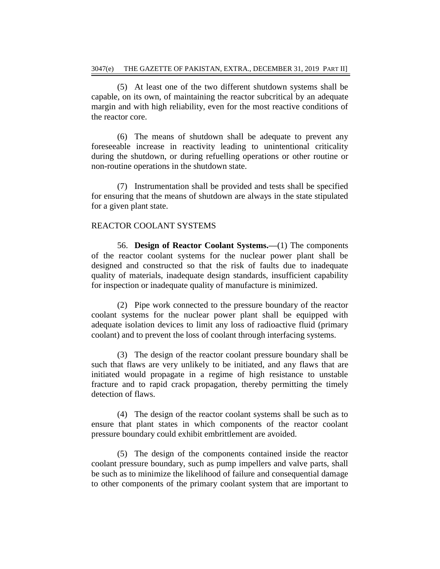(5) At least one of the two different shutdown systems shall be capable, on its own, of maintaining the reactor subcritical by an adequate margin and with high reliability, even for the most reactive conditions of the reactor core.

(6) The means of shutdown shall be adequate to prevent any foreseeable increase in reactivity leading to unintentional criticality during the shutdown, or during refuelling operations or other routine or non-routine operations in the shutdown state.

(7) Instrumentation shall be provided and tests shall be specified for ensuring that the means of shutdown are always in the state stipulated for a given plant state.

## REACTOR COOLANT SYSTEMS

56. **Design of Reactor Coolant Systems.—**(1) The components of the reactor coolant systems for the nuclear power plant shall be designed and constructed so that the risk of faults due to inadequate quality of materials, inadequate design standards, insufficient capability for inspection or inadequate quality of manufacture is minimized.

(2) Pipe work connected to the pressure boundary of the reactor coolant systems for the nuclear power plant shall be equipped with adequate isolation devices to limit any loss of radioactive fluid (primary coolant) and to prevent the loss of coolant through interfacing systems.

(3) The design of the reactor coolant pressure boundary shall be such that flaws are very unlikely to be initiated, and any flaws that are initiated would propagate in a regime of high resistance to unstable fracture and to rapid crack propagation, thereby permitting the timely detection of flaws.

(4) The design of the reactor coolant systems shall be such as to ensure that plant states in which components of the reactor coolant pressure boundary could exhibit embrittlement are avoided.

(5) The design of the components contained inside the reactor coolant pressure boundary, such as pump impellers and valve parts, shall be such as to minimize the likelihood of failure and consequential damage to other components of the primary coolant system that are important to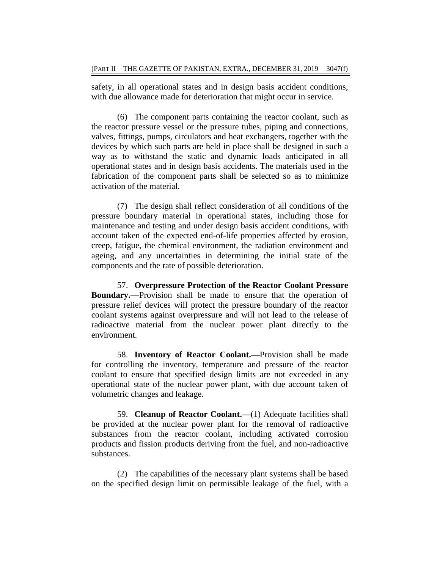safety, in all operational states and in design basis accident conditions, with due allowance made for deterioration that might occur in service.

(6) The component parts containing the reactor coolant, such as the reactor pressure vessel or the pressure tubes, piping and connections, valves, fittings, pumps, circulators and heat exchangers, together with the devices by which such parts are held in place shall be designed in such a way as to withstand the static and dynamic loads anticipated in all operational states and in design basis accidents. The materials used in the fabrication of the component parts shall be selected so as to minimize activation of the material.

(7) The design shall reflect consideration of all conditions of the pressure boundary material in operational states, including those for maintenance and testing and under design basis accident conditions, with account taken of the expected end-of-life properties affected by erosion, creep, fatigue, the chemical environment, the radiation environment and ageing, and any uncertainties in determining the initial state of the components and the rate of possible deterioration.

57. **Overpressure Protection of the Reactor Coolant Pressure Boundary.—**Provision shall be made to ensure that the operation of pressure relief devices will protect the pressure boundary of the reactor coolant systems against overpressure and will not lead to the release of radioactive material from the nuclear power plant directly to the environment.

58. **Inventory of Reactor Coolant.—**Provision shall be made for controlling the inventory, temperature and pressure of the reactor coolant to ensure that specified design limits are not exceeded in any operational state of the nuclear power plant, with due account taken of volumetric changes and leakage.

59. **Cleanup of Reactor Coolant.—**(1) Adequate facilities shall be provided at the nuclear power plant for the removal of radioactive substances from the reactor coolant, including activated corrosion products and fission products deriving from the fuel, and non-radioactive substances.

(2) The capabilities of the necessary plant systems shall be based on the specified design limit on permissible leakage of the fuel, with a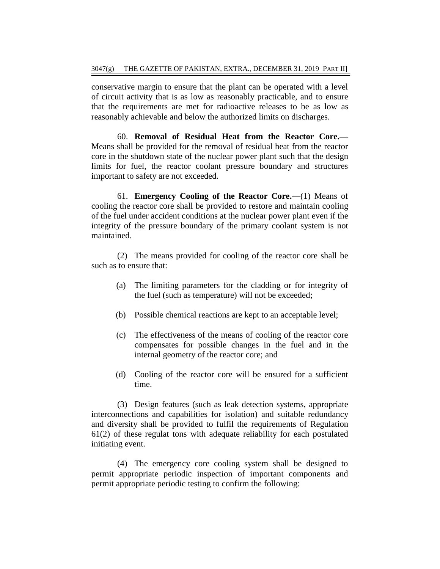conservative margin to ensure that the plant can be operated with a level of circuit activity that is as low as reasonably practicable, and to ensure that the requirements are met for radioactive releases to be as low as reasonably achievable and below the authorized limits on discharges.

60. **Removal of Residual Heat from the Reactor Core.—** Means shall be provided for the removal of residual heat from the reactor core in the shutdown state of the nuclear power plant such that the design limits for fuel, the reactor coolant pressure boundary and structures important to safety are not exceeded.

61. **Emergency Cooling of the Reactor Core.—**(1) Means of cooling the reactor core shall be provided to restore and maintain cooling of the fuel under accident conditions at the nuclear power plant even if the integrity of the pressure boundary of the primary coolant system is not maintained.

(2) The means provided for cooling of the reactor core shall be such as to ensure that:

- (a) The limiting parameters for the cladding or for integrity of the fuel (such as temperature) will not be exceeded;
- (b) Possible chemical reactions are kept to an acceptable level;
- (c) The effectiveness of the means of cooling of the reactor core compensates for possible changes in the fuel and in the internal geometry of the reactor core; and
- (d) Cooling of the reactor core will be ensured for a sufficient time.

(3) Design features (such as leak detection systems, appropriate interconnections and capabilities for isolation) and suitable redundancy and diversity shall be provided to fulfil the requirements of Regulation 61(2) of these regulat tons with adequate reliability for each postulated initiating event.

(4) The emergency core cooling system shall be designed to permit appropriate periodic inspection of important components and permit appropriate periodic testing to confirm the following: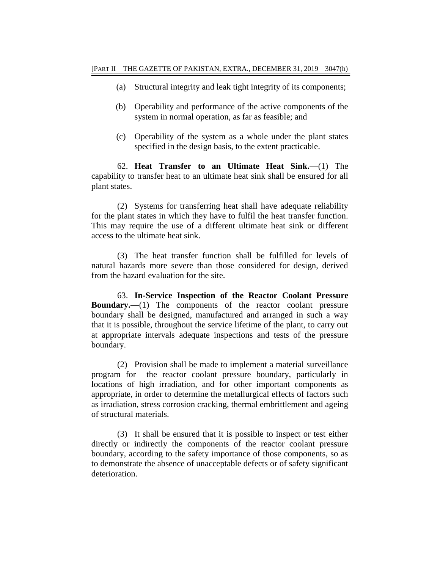- (a) Structural integrity and leak tight integrity of its components;
- (b) Operability and performance of the active components of the system in normal operation, as far as feasible; and
- (c) Operability of the system as a whole under the plant states specified in the design basis, to the extent practicable.

62. **Heat Transfer to an Ultimate Heat Sink.—**(1) The capability to transfer heat to an ultimate heat sink shall be ensured for all plant states.

(2) Systems for transferring heat shall have adequate reliability for the plant states in which they have to fulfil the heat transfer function. This may require the use of a different ultimate heat sink or different access to the ultimate heat sink.

(3) The heat transfer function shall be fulfilled for levels of natural hazards more severe than those considered for design, derived from the hazard evaluation for the site.

63. **In-Service Inspection of the Reactor Coolant Pressure Boundary.**—(1) The components of the reactor coolant pressure boundary shall be designed, manufactured and arranged in such a way that it is possible, throughout the service lifetime of the plant, to carry out at appropriate intervals adequate inspections and tests of the pressure boundary.

(2) Provision shall be made to implement a material surveillance program for the reactor coolant pressure boundary, particularly in locations of high irradiation, and for other important components as appropriate, in order to determine the metallurgical effects of factors such as irradiation, stress corrosion cracking, thermal embrittlement and ageing of structural materials.

(3) It shall be ensured that it is possible to inspect or test either directly or indirectly the components of the reactor coolant pressure boundary, according to the safety importance of those components, so as to demonstrate the absence of unacceptable defects or of safety significant deterioration.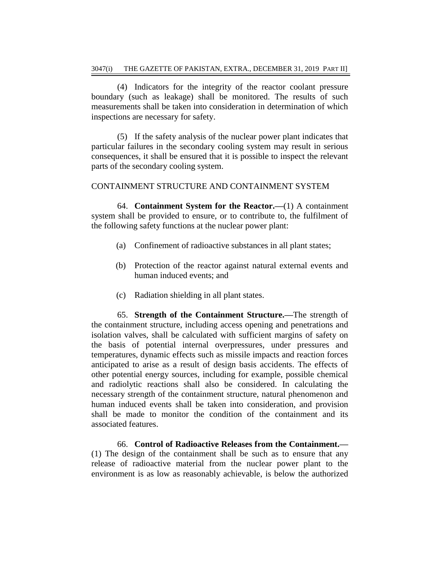(4) Indicators for the integrity of the reactor coolant pressure boundary (such as leakage) shall be monitored. The results of such measurements shall be taken into consideration in determination of which inspections are necessary for safety.

(5) If the safety analysis of the nuclear power plant indicates that particular failures in the secondary cooling system may result in serious consequences, it shall be ensured that it is possible to inspect the relevant parts of the secondary cooling system.

## CONTAINMENT STRUCTURE AND CONTAINMENT SYSTEM

64. **Containment System for the Reactor.—**(1) A containment system shall be provided to ensure, or to contribute to, the fulfilment of the following safety functions at the nuclear power plant:

- (a) Confinement of radioactive substances in all plant states;
- (b) Protection of the reactor against natural external events and human induced events; and
- (c) Radiation shielding in all plant states.

65. **Strength of the Containment Structure.—**The strength of the containment structure, including access opening and penetrations and isolation valves, shall be calculated with sufficient margins of safety on the basis of potential internal overpressures, under pressures and temperatures, dynamic effects such as missile impacts and reaction forces anticipated to arise as a result of design basis accidents. The effects of other potential energy sources, including for example, possible chemical and radiolytic reactions shall also be considered. In calculating the necessary strength of the containment structure, natural phenomenon and human induced events shall be taken into consideration, and provision shall be made to monitor the condition of the containment and its associated features.

66. **Control of Radioactive Releases from the Containment.—** (1) The design of the containment shall be such as to ensure that any release of radioactive material from the nuclear power plant to the environment is as low as reasonably achievable, is below the authorized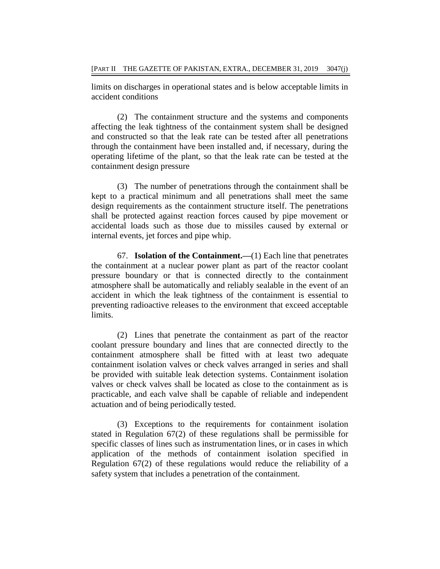limits on discharges in operational states and is below acceptable limits in accident conditions

(2) The containment structure and the systems and components affecting the leak tightness of the containment system shall be designed and constructed so that the leak rate can be tested after all penetrations through the containment have been installed and, if necessary, during the operating lifetime of the plant, so that the leak rate can be tested at the containment design pressure

(3) The number of penetrations through the containment shall be kept to a practical minimum and all penetrations shall meet the same design requirements as the containment structure itself. The penetrations shall be protected against reaction forces caused by pipe movement or accidental loads such as those due to missiles caused by external or internal events, jet forces and pipe whip.

67. **Isolation of the Containment.—**(1) Each line that penetrates the containment at a nuclear power plant as part of the reactor coolant pressure boundary or that is connected directly to the containment atmosphere shall be automatically and reliably sealable in the event of an accident in which the leak tightness of the containment is essential to preventing radioactive releases to the environment that exceed acceptable limits.

(2) Lines that penetrate the containment as part of the reactor coolant pressure boundary and lines that are connected directly to the containment atmosphere shall be fitted with at least two adequate containment isolation valves or check valves arranged in series and shall be provided with suitable leak detection systems. Containment isolation valves or check valves shall be located as close to the containment as is practicable, and each valve shall be capable of reliable and independent actuation and of being periodically tested.

(3) Exceptions to the requirements for containment isolation stated in Regulation 67(2) of these regulations shall be permissible for specific classes of lines such as instrumentation lines, or in cases in which application of the methods of containment isolation specified in Regulation 67(2) of these regulations would reduce the reliability of a safety system that includes a penetration of the containment.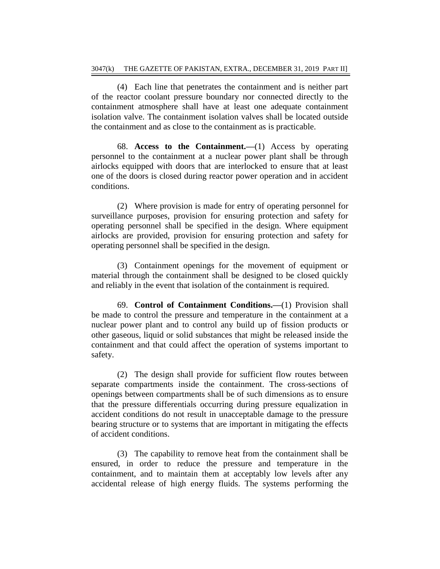(4) Each line that penetrates the containment and is neither part of the reactor coolant pressure boundary nor connected directly to the containment atmosphere shall have at least one adequate containment isolation valve. The containment isolation valves shall be located outside the containment and as close to the containment as is practicable.

68. **Access to the Containment.—**(1) Access by operating personnel to the containment at a nuclear power plant shall be through airlocks equipped with doors that are interlocked to ensure that at least one of the doors is closed during reactor power operation and in accident conditions.

(2) Where provision is made for entry of operating personnel for surveillance purposes, provision for ensuring protection and safety for operating personnel shall be specified in the design. Where equipment airlocks are provided, provision for ensuring protection and safety for operating personnel shall be specified in the design.

(3) Containment openings for the movement of equipment or material through the containment shall be designed to be closed quickly and reliably in the event that isolation of the containment is required.

69. **Control of Containment Conditions.—**(1) Provision shall be made to control the pressure and temperature in the containment at a nuclear power plant and to control any build up of fission products or other gaseous, liquid or solid substances that might be released inside the containment and that could affect the operation of systems important to safety.

(2) The design shall provide for sufficient flow routes between separate compartments inside the containment. The cross-sections of openings between compartments shall be of such dimensions as to ensure that the pressure differentials occurring during pressure equalization in accident conditions do not result in unacceptable damage to the pressure bearing structure or to systems that are important in mitigating the effects of accident conditions.

(3) The capability to remove heat from the containment shall be ensured, in order to reduce the pressure and temperature in the containment, and to maintain them at acceptably low levels after any accidental release of high energy fluids. The systems performing the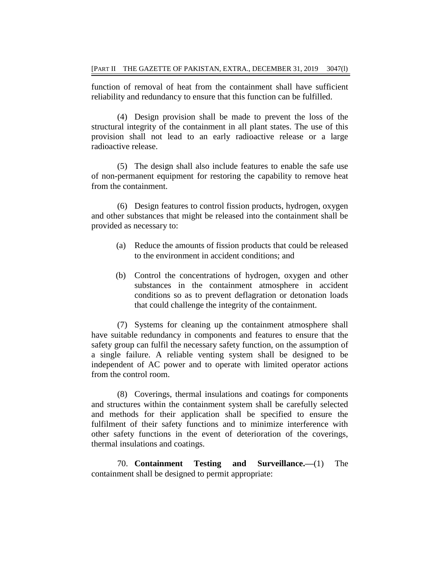function of removal of heat from the containment shall have sufficient reliability and redundancy to ensure that this function can be fulfilled.

(4) Design provision shall be made to prevent the loss of the structural integrity of the containment in all plant states. The use of this provision shall not lead to an early radioactive release or a large radioactive release.

(5) The design shall also include features to enable the safe use of non-permanent equipment for restoring the capability to remove heat from the containment.

(6) Design features to control fission products, hydrogen, oxygen and other substances that might be released into the containment shall be provided as necessary to:

- (a) Reduce the amounts of fission products that could be released to the environment in accident conditions; and
- (b) Control the concentrations of hydrogen, oxygen and other substances in the containment atmosphere in accident conditions so as to prevent deflagration or detonation loads that could challenge the integrity of the containment.

(7) Systems for cleaning up the containment atmosphere shall have suitable redundancy in components and features to ensure that the safety group can fulfil the necessary safety function, on the assumption of a single failure. A reliable venting system shall be designed to be independent of AC power and to operate with limited operator actions from the control room.

(8) Coverings, thermal insulations and coatings for components and structures within the containment system shall be carefully selected and methods for their application shall be specified to ensure the fulfilment of their safety functions and to minimize interference with other safety functions in the event of deterioration of the coverings, thermal insulations and coatings.

70. **Containment Testing and Surveillance.—**(1) The containment shall be designed to permit appropriate: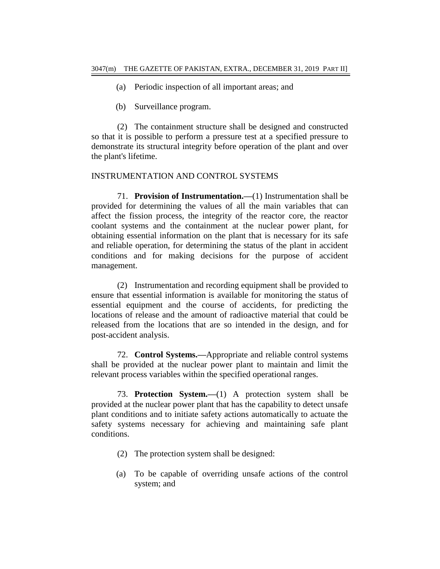- (a) Periodic inspection of all important areas; and
- (b) Surveillance program.

(2) The containment structure shall be designed and constructed so that it is possible to perform a pressure test at a specified pressure to demonstrate its structural integrity before operation of the plant and over the plant's lifetime.

## INSTRUMENTATION AND CONTROL SYSTEMS

71. **Provision of Instrumentation.—**(1) Instrumentation shall be provided for determining the values of all the main variables that can affect the fission process, the integrity of the reactor core, the reactor coolant systems and the containment at the nuclear power plant, for obtaining essential information on the plant that is necessary for its safe and reliable operation, for determining the status of the plant in accident conditions and for making decisions for the purpose of accident management.

(2) Instrumentation and recording equipment shall be provided to ensure that essential information is available for monitoring the status of essential equipment and the course of accidents, for predicting the locations of release and the amount of radioactive material that could be released from the locations that are so intended in the design, and for post-accident analysis.

72. **Control Systems.—**Appropriate and reliable control systems shall be provided at the nuclear power plant to maintain and limit the relevant process variables within the specified operational ranges.

73. **Protection System.—**(1) A protection system shall be provided at the nuclear power plant that has the capability to detect unsafe plant conditions and to initiate safety actions automatically to actuate the safety systems necessary for achieving and maintaining safe plant conditions.

- (2) The protection system shall be designed:
- (a) To be capable of overriding unsafe actions of the control system; and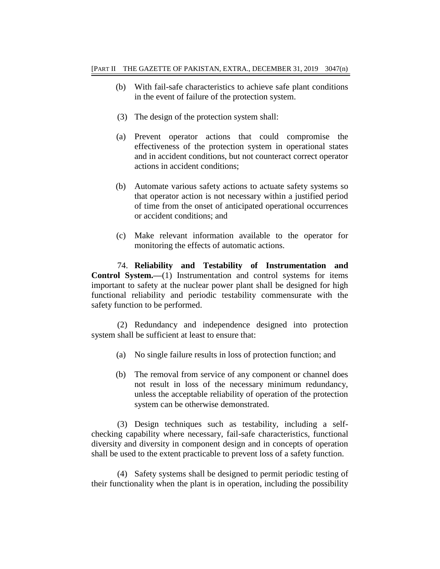- (b) With fail-safe characteristics to achieve safe plant conditions in the event of failure of the protection system.
- (3) The design of the protection system shall:
- (a) Prevent operator actions that could compromise the effectiveness of the protection system in operational states and in accident conditions, but not counteract correct operator actions in accident conditions;
- (b) Automate various safety actions to actuate safety systems so that operator action is not necessary within a justified period of time from the onset of anticipated operational occurrences or accident conditions; and
- (c) Make relevant information available to the operator for monitoring the effects of automatic actions.

74. **Reliability and Testability of Instrumentation and Control System.—**(1) Instrumentation and control systems for items important to safety at the nuclear power plant shall be designed for high functional reliability and periodic testability commensurate with the safety function to be performed.

(2) Redundancy and independence designed into protection system shall be sufficient at least to ensure that:

- (a) No single failure results in loss of protection function; and
- (b) The removal from service of any component or channel does not result in loss of the necessary minimum redundancy, unless the acceptable reliability of operation of the protection system can be otherwise demonstrated.

(3) Design techniques such as testability, including a selfchecking capability where necessary, fail-safe characteristics, functional diversity and diversity in component design and in concepts of operation shall be used to the extent practicable to prevent loss of a safety function.

(4) Safety systems shall be designed to permit periodic testing of their functionality when the plant is in operation, including the possibility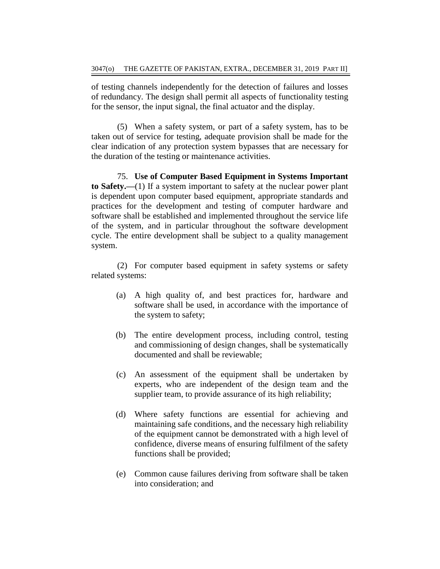of testing channels independently for the detection of failures and losses of redundancy. The design shall permit all aspects of functionality testing for the sensor, the input signal, the final actuator and the display.

(5) When a safety system, or part of a safety system, has to be taken out of service for testing, adequate provision shall be made for the clear indication of any protection system bypasses that are necessary for the duration of the testing or maintenance activities.

75. **Use of Computer Based Equipment in Systems Important to Safety.—**(1) If a system important to safety at the nuclear power plant is dependent upon computer based equipment, appropriate standards and practices for the development and testing of computer hardware and software shall be established and implemented throughout the service life of the system, and in particular throughout the software development cycle. The entire development shall be subject to a quality management system.

(2) For computer based equipment in safety systems or safety related systems:

- (a) A high quality of, and best practices for, hardware and software shall be used, in accordance with the importance of the system to safety;
- (b) The entire development process, including control, testing and commissioning of design changes, shall be systematically documented and shall be reviewable;
- (c) An assessment of the equipment shall be undertaken by experts, who are independent of the design team and the supplier team, to provide assurance of its high reliability;
- (d) Where safety functions are essential for achieving and maintaining safe conditions, and the necessary high reliability of the equipment cannot be demonstrated with a high level of confidence, diverse means of ensuring fulfilment of the safety functions shall be provided;
- (e) Common cause failures deriving from software shall be taken into consideration; and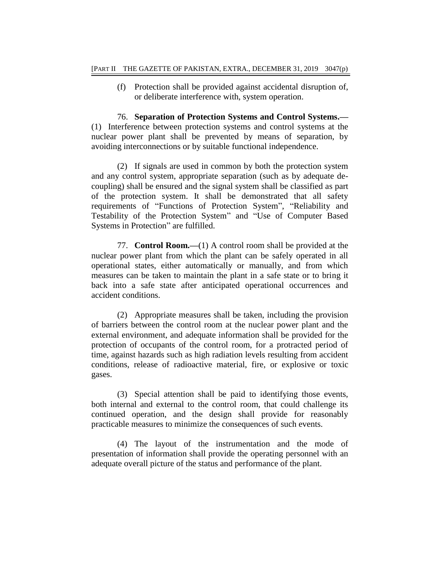(f) Protection shall be provided against accidental disruption of, or deliberate interference with, system operation.

76. **Separation of Protection Systems and Control Systems.—** (1) Interference between protection systems and control systems at the nuclear power plant shall be prevented by means of separation, by avoiding interconnections or by suitable functional independence.

(2) If signals are used in common by both the protection system and any control system, appropriate separation (such as by adequate decoupling) shall be ensured and the signal system shall be classified as part of the protection system. It shall be demonstrated that all safety requirements of "Functions of Protection System", "Reliability and Testability of the Protection System" and "Use of Computer Based Systems in Protection" are fulfilled.

77. **Control Room.—**(1) A control room shall be provided at the nuclear power plant from which the plant can be safely operated in all operational states, either automatically or manually, and from which measures can be taken to maintain the plant in a safe state or to bring it back into a safe state after anticipated operational occurrences and accident conditions.

(2) Appropriate measures shall be taken, including the provision of barriers between the control room at the nuclear power plant and the external environment, and adequate information shall be provided for the protection of occupants of the control room, for a protracted period of time, against hazards such as high radiation levels resulting from accident conditions, release of radioactive material, fire, or explosive or toxic gases.

(3) Special attention shall be paid to identifying those events, both internal and external to the control room, that could challenge its continued operation, and the design shall provide for reasonably practicable measures to minimize the consequences of such events.

(4) The layout of the instrumentation and the mode of presentation of information shall provide the operating personnel with an adequate overall picture of the status and performance of the plant.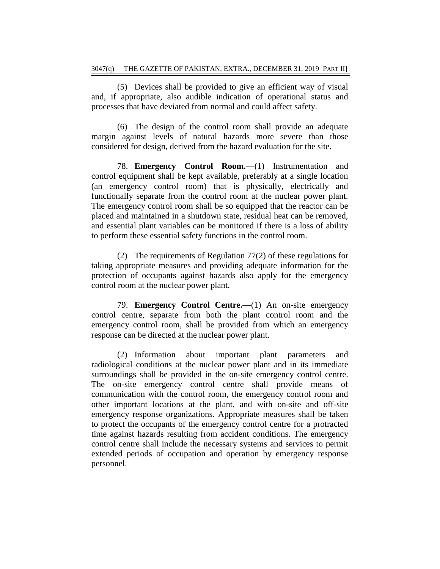(5) Devices shall be provided to give an efficient way of visual and, if appropriate, also audible indication of operational status and processes that have deviated from normal and could affect safety.

(6) The design of the control room shall provide an adequate margin against levels of natural hazards more severe than those considered for design, derived from the hazard evaluation for the site.

78. **Emergency Control Room.—**(1) Instrumentation and control equipment shall be kept available, preferably at a single location (an emergency control room) that is physically, electrically and functionally separate from the control room at the nuclear power plant. The emergency control room shall be so equipped that the reactor can be placed and maintained in a shutdown state, residual heat can be removed, and essential plant variables can be monitored if there is a loss of ability to perform these essential safety functions in the control room.

(2) The requirements of Regulation 77(2) of these regulations for taking appropriate measures and providing adequate information for the protection of occupants against hazards also apply for the emergency control room at the nuclear power plant.

79. **Emergency Control Centre.—**(1) An on-site emergency control centre, separate from both the plant control room and the emergency control room, shall be provided from which an emergency response can be directed at the nuclear power plant.

(2) Information about important plant parameters and radiological conditions at the nuclear power plant and in its immediate surroundings shall be provided in the on-site emergency control centre. The on-site emergency control centre shall provide means of communication with the control room, the emergency control room and other important locations at the plant, and with on-site and off-site emergency response organizations. Appropriate measures shall be taken to protect the occupants of the emergency control centre for a protracted time against hazards resulting from accident conditions. The emergency control centre shall include the necessary systems and services to permit extended periods of occupation and operation by emergency response personnel.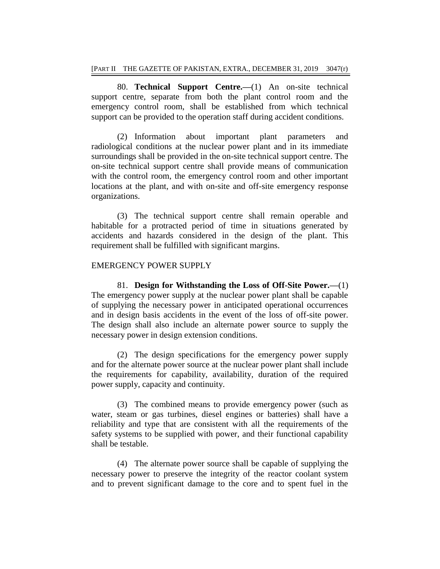80. **Technical Support Centre.—**(1) An on-site technical support centre, separate from both the plant control room and the emergency control room, shall be established from which technical support can be provided to the operation staff during accident conditions.

(2) Information about important plant parameters and radiological conditions at the nuclear power plant and in its immediate surroundings shall be provided in the on-site technical support centre. The on-site technical support centre shall provide means of communication with the control room, the emergency control room and other important locations at the plant, and with on-site and off-site emergency response organizations.

(3) The technical support centre shall remain operable and habitable for a protracted period of time in situations generated by accidents and hazards considered in the design of the plant. This requirement shall be fulfilled with significant margins.

## EMERGENCY POWER SUPPLY

81. **Design for Withstanding the Loss of Off-Site Power.—**(1) The emergency power supply at the nuclear power plant shall be capable of supplying the necessary power in anticipated operational occurrences and in design basis accidents in the event of the loss of off-site power. The design shall also include an alternate power source to supply the necessary power in design extension conditions.

(2) The design specifications for the emergency power supply and for the alternate power source at the nuclear power plant shall include the requirements for capability, availability, duration of the required power supply, capacity and continuity.

(3) The combined means to provide emergency power (such as water, steam or gas turbines, diesel engines or batteries) shall have a reliability and type that are consistent with all the requirements of the safety systems to be supplied with power, and their functional capability shall be testable.

(4) The alternate power source shall be capable of supplying the necessary power to preserve the integrity of the reactor coolant system and to prevent significant damage to the core and to spent fuel in the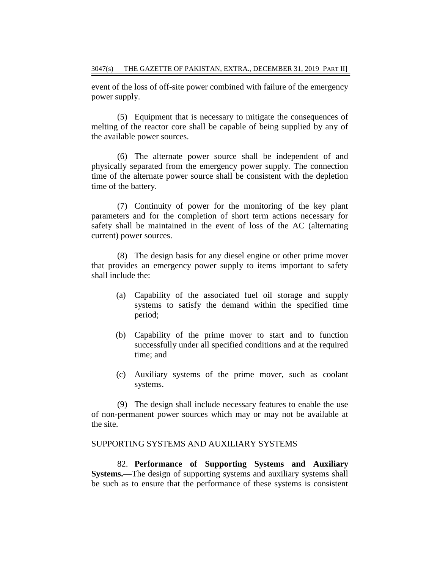event of the loss of off-site power combined with failure of the emergency power supply.

(5) Equipment that is necessary to mitigate the consequences of melting of the reactor core shall be capable of being supplied by any of the available power sources.

(6) The alternate power source shall be independent of and physically separated from the emergency power supply. The connection time of the alternate power source shall be consistent with the depletion time of the battery.

(7) Continuity of power for the monitoring of the key plant parameters and for the completion of short term actions necessary for safety shall be maintained in the event of loss of the AC (alternating current) power sources.

(8) The design basis for any diesel engine or other prime mover that provides an emergency power supply to items important to safety shall include the:

- (a) Capability of the associated fuel oil storage and supply systems to satisfy the demand within the specified time period;
- (b) Capability of the prime mover to start and to function successfully under all specified conditions and at the required time; and
- (c) Auxiliary systems of the prime mover, such as coolant systems.

(9) The design shall include necessary features to enable the use of non-permanent power sources which may or may not be available at the site.

## SUPPORTING SYSTEMS AND AUXILIARY SYSTEMS

82. **Performance of Supporting Systems and Auxiliary Systems.—The design of supporting systems and auxiliary systems shall** be such as to ensure that the performance of these systems is consistent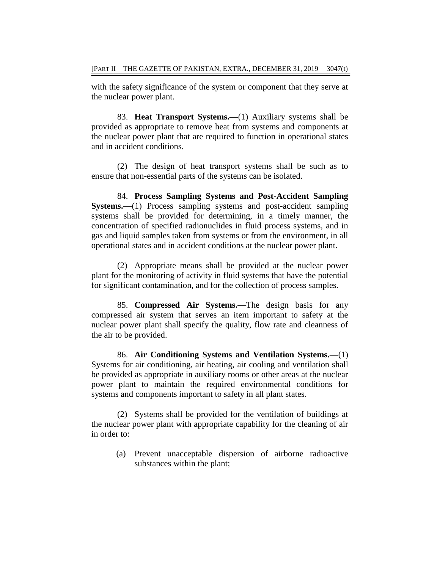with the safety significance of the system or component that they serve at the nuclear power plant.

83. **Heat Transport Systems.—**(1) Auxiliary systems shall be provided as appropriate to remove heat from systems and components at the nuclear power plant that are required to function in operational states and in accident conditions.

(2) The design of heat transport systems shall be such as to ensure that non-essential parts of the systems can be isolated.

84. **Process Sampling Systems and Post-Accident Sampling Systems.—**(1) Process sampling systems and post-accident sampling systems shall be provided for determining, in a timely manner, the concentration of specified radionuclides in fluid process systems, and in gas and liquid samples taken from systems or from the environment, in all operational states and in accident conditions at the nuclear power plant.

(2) Appropriate means shall be provided at the nuclear power plant for the monitoring of activity in fluid systems that have the potential for significant contamination, and for the collection of process samples.

85. **Compressed Air Systems.—**The design basis for any compressed air system that serves an item important to safety at the nuclear power plant shall specify the quality, flow rate and cleanness of the air to be provided.

86. **Air Conditioning Systems and Ventilation Systems.—**(1) Systems for air conditioning, air heating, air cooling and ventilation shall be provided as appropriate in auxiliary rooms or other areas at the nuclear power plant to maintain the required environmental conditions for systems and components important to safety in all plant states.

(2) Systems shall be provided for the ventilation of buildings at the nuclear power plant with appropriate capability for the cleaning of air in order to:

(a) Prevent unacceptable dispersion of airborne radioactive substances within the plant;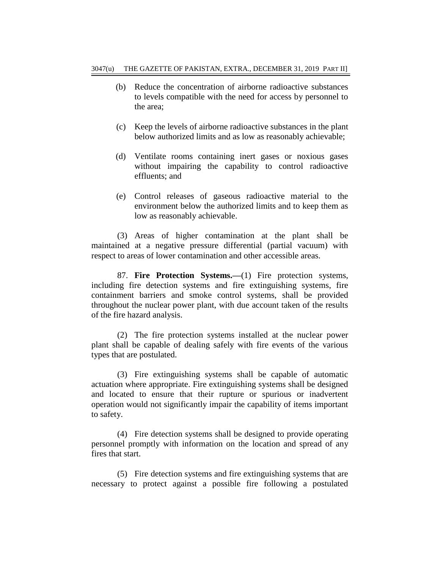- (b) Reduce the concentration of airborne radioactive substances to levels compatible with the need for access by personnel to the area;
- (c) Keep the levels of airborne radioactive substances in the plant below authorized limits and as low as reasonably achievable;
- (d) Ventilate rooms containing inert gases or noxious gases without impairing the capability to control radioactive effluents; and
- (e) Control releases of gaseous radioactive material to the environment below the authorized limits and to keep them as low as reasonably achievable.

(3) Areas of higher contamination at the plant shall be maintained at a negative pressure differential (partial vacuum) with respect to areas of lower contamination and other accessible areas.

87. **Fire Protection Systems.—**(1) Fire protection systems, including fire detection systems and fire extinguishing systems, fire containment barriers and smoke control systems, shall be provided throughout the nuclear power plant, with due account taken of the results of the fire hazard analysis.

(2) The fire protection systems installed at the nuclear power plant shall be capable of dealing safely with fire events of the various types that are postulated.

(3) Fire extinguishing systems shall be capable of automatic actuation where appropriate. Fire extinguishing systems shall be designed and located to ensure that their rupture or spurious or inadvertent operation would not significantly impair the capability of items important to safety.

(4) Fire detection systems shall be designed to provide operating personnel promptly with information on the location and spread of any fires that start.

(5) Fire detection systems and fire extinguishing systems that are necessary to protect against a possible fire following a postulated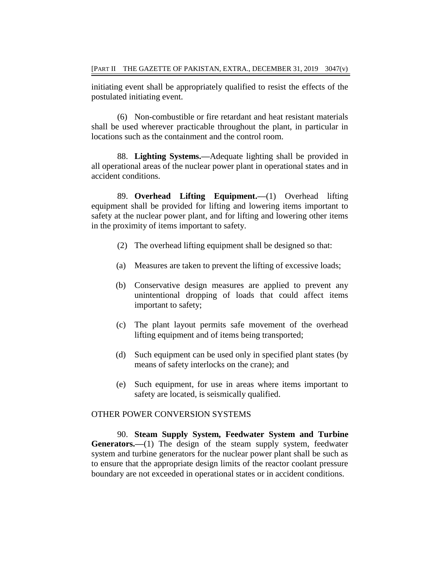initiating event shall be appropriately qualified to resist the effects of the postulated initiating event.

(6) Non-combustible or fire retardant and heat resistant materials shall be used wherever practicable throughout the plant, in particular in locations such as the containment and the control room.

88. **Lighting Systems.—**Adequate lighting shall be provided in all operational areas of the nuclear power plant in operational states and in accident conditions.

89. **Overhead Lifting Equipment.—**(1) Overhead lifting equipment shall be provided for lifting and lowering items important to safety at the nuclear power plant, and for lifting and lowering other items in the proximity of items important to safety.

- (2) The overhead lifting equipment shall be designed so that:
- (a) Measures are taken to prevent the lifting of excessive loads;
- (b) Conservative design measures are applied to prevent any unintentional dropping of loads that could affect items important to safety;
- (c) The plant layout permits safe movement of the overhead lifting equipment and of items being transported;
- (d) Such equipment can be used only in specified plant states (by means of safety interlocks on the crane); and
- (e) Such equipment, for use in areas where items important to safety are located, is seismically qualified.

## OTHER POWER CONVERSION SYSTEMS

90. **Steam Supply System, Feedwater System and Turbine Generators.—**(1) The design of the steam supply system, feedwater system and turbine generators for the nuclear power plant shall be such as to ensure that the appropriate design limits of the reactor coolant pressure boundary are not exceeded in operational states or in accident conditions.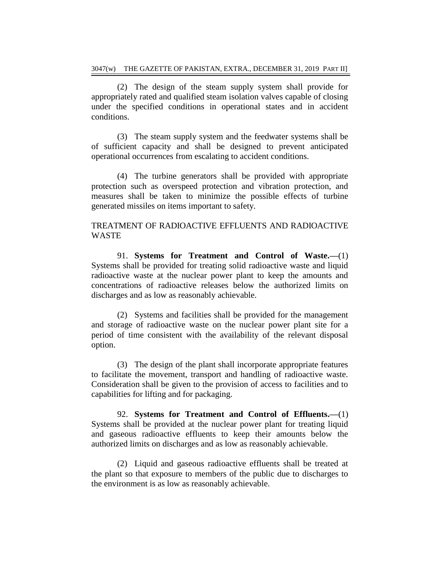(2) The design of the steam supply system shall provide for appropriately rated and qualified steam isolation valves capable of closing under the specified conditions in operational states and in accident conditions.

(3) The steam supply system and the feedwater systems shall be of sufficient capacity and shall be designed to prevent anticipated operational occurrences from escalating to accident conditions.

(4) The turbine generators shall be provided with appropriate protection such as overspeed protection and vibration protection, and measures shall be taken to minimize the possible effects of turbine generated missiles on items important to safety.

# TREATMENT OF RADIOACTIVE EFFLUENTS AND RADIOACTIVE WASTE

91. **Systems for Treatment and Control of Waste.—**(1) Systems shall be provided for treating solid radioactive waste and liquid radioactive waste at the nuclear power plant to keep the amounts and concentrations of radioactive releases below the authorized limits on discharges and as low as reasonably achievable.

(2) Systems and facilities shall be provided for the management and storage of radioactive waste on the nuclear power plant site for a period of time consistent with the availability of the relevant disposal option.

(3) The design of the plant shall incorporate appropriate features to facilitate the movement, transport and handling of radioactive waste. Consideration shall be given to the provision of access to facilities and to capabilities for lifting and for packaging.

92. **Systems for Treatment and Control of Effluents.—**(1) Systems shall be provided at the nuclear power plant for treating liquid and gaseous radioactive effluents to keep their amounts below the authorized limits on discharges and as low as reasonably achievable.

(2) Liquid and gaseous radioactive effluents shall be treated at the plant so that exposure to members of the public due to discharges to the environment is as low as reasonably achievable.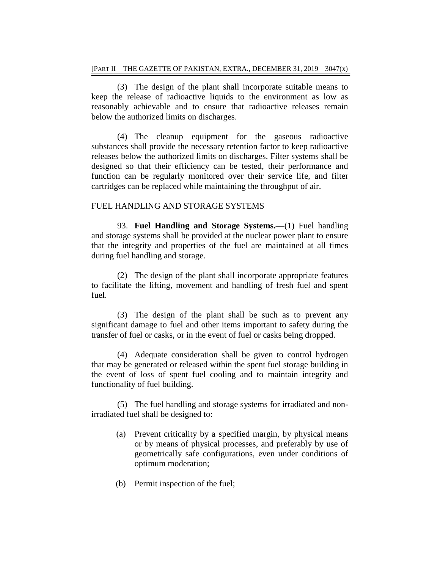(3) The design of the plant shall incorporate suitable means to keep the release of radioactive liquids to the environment as low as reasonably achievable and to ensure that radioactive releases remain below the authorized limits on discharges.

(4) The cleanup equipment for the gaseous radioactive substances shall provide the necessary retention factor to keep radioactive releases below the authorized limits on discharges. Filter systems shall be designed so that their efficiency can be tested, their performance and function can be regularly monitored over their service life, and filter cartridges can be replaced while maintaining the throughput of air.

# FUEL HANDLING AND STORAGE SYSTEMS

93. **Fuel Handling and Storage Systems.—**(1) Fuel handling and storage systems shall be provided at the nuclear power plant to ensure that the integrity and properties of the fuel are maintained at all times during fuel handling and storage.

(2) The design of the plant shall incorporate appropriate features to facilitate the lifting, movement and handling of fresh fuel and spent fuel.

(3) The design of the plant shall be such as to prevent any significant damage to fuel and other items important to safety during the transfer of fuel or casks, or in the event of fuel or casks being dropped.

(4) Adequate consideration shall be given to control hydrogen that may be generated or released within the spent fuel storage building in the event of loss of spent fuel cooling and to maintain integrity and functionality of fuel building.

(5) The fuel handling and storage systems for irradiated and nonirradiated fuel shall be designed to:

- (a) Prevent criticality by a specified margin, by physical means or by means of physical processes, and preferably by use of geometrically safe configurations, even under conditions of optimum moderation;
- (b) Permit inspection of the fuel;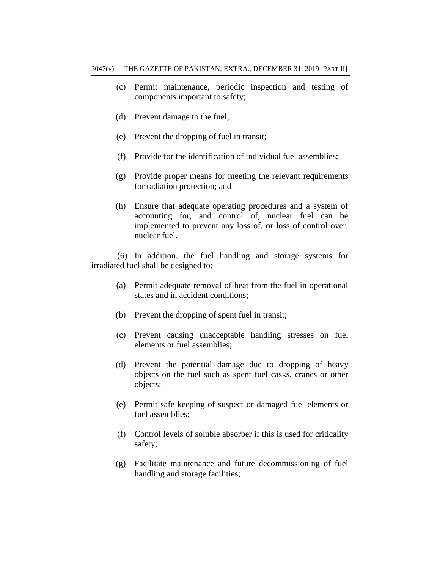- (c) Permit maintenance, periodic inspection and testing of components important to safety;
- (d) Prevent damage to the fuel;
- (e) Prevent the dropping of fuel in transit;
- (f) Provide for the identification of individual fuel assemblies;
- (g) Provide proper means for meeting the relevant requirements for radiation protection; and
- (h) Ensure that adequate operating procedures and a system of accounting for, and control of, nuclear fuel can be implemented to prevent any loss of, or loss of control over, nuclear fuel.

(6) In addition, the fuel handling and storage systems for irradiated fuel shall be designed to:

- (a) Permit adequate removal of heat from the fuel in operational states and in accident conditions;
- (b) Prevent the dropping of spent fuel in transit;
- (c) Prevent causing unacceptable handling stresses on fuel elements or fuel assemblies;
- (d) Prevent the potential damage due to dropping of heavy objects on the fuel such as spent fuel casks, cranes or other objects;
- (e) Permit safe keeping of suspect or damaged fuel elements or fuel assemblies;
- (f) Control levels of soluble absorber if this is used for criticality safety;
- (g) Facilitate maintenance and future decommissioning of fuel handling and storage facilities;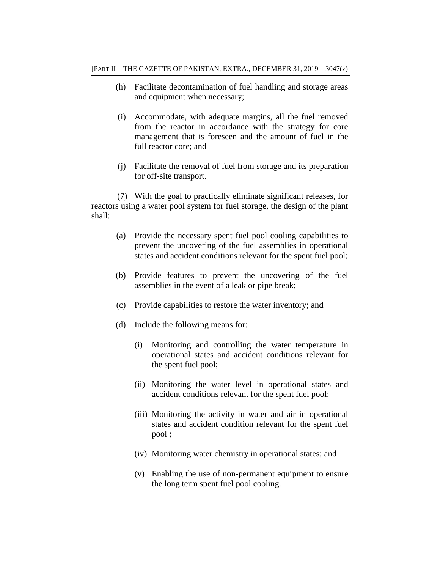- (h) Facilitate decontamination of fuel handling and storage areas and equipment when necessary;
- (i) Accommodate, with adequate margins, all the fuel removed from the reactor in accordance with the strategy for core management that is foreseen and the amount of fuel in the full reactor core; and
- (j) Facilitate the removal of fuel from storage and its preparation for off-site transport.

(7) With the goal to practically eliminate significant releases, for reactors using a water pool system for fuel storage, the design of the plant shall:

- (a) Provide the necessary spent fuel pool cooling capabilities to prevent the uncovering of the fuel assemblies in operational states and accident conditions relevant for the spent fuel pool;
- (b) Provide features to prevent the uncovering of the fuel assemblies in the event of a leak or pipe break;
- (c) Provide capabilities to restore the water inventory; and
- (d) Include the following means for:
	- (i) Monitoring and controlling the water temperature in operational states and accident conditions relevant for the spent fuel pool;
	- (ii) Monitoring the water level in operational states and accident conditions relevant for the spent fuel pool;
	- (iii) Monitoring the activity in water and air in operational states and accident condition relevant for the spent fuel pool ;
	- (iv) Monitoring water chemistry in operational states; and
	- (v) Enabling the use of non-permanent equipment to ensure the long term spent fuel pool cooling.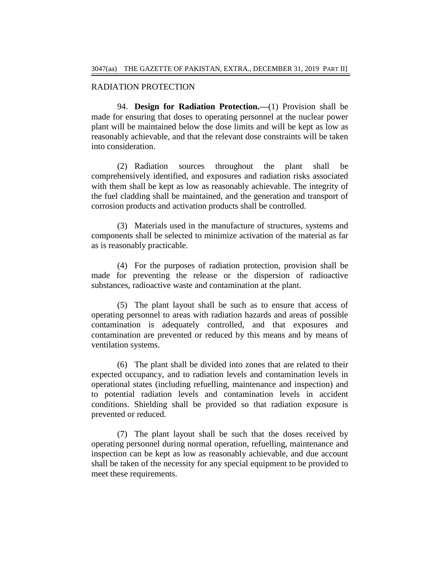# RADIATION PROTECTION

94. **Design for Radiation Protection.—**(1) Provision shall be made for ensuring that doses to operating personnel at the nuclear power plant will be maintained below the dose limits and will be kept as low as reasonably achievable, and that the relevant dose constraints will be taken into consideration.

(2) Radiation sources throughout the plant shall be comprehensively identified, and exposures and radiation risks associated with them shall be kept as low as reasonably achievable. The integrity of the fuel cladding shall be maintained, and the generation and transport of corrosion products and activation products shall be controlled.

(3) Materials used in the manufacture of structures, systems and components shall be selected to minimize activation of the material as far as is reasonably practicable.

(4) For the purposes of radiation protection, provision shall be made for preventing the release or the dispersion of radioactive substances, radioactive waste and contamination at the plant.

(5) The plant layout shall be such as to ensure that access of operating personnel to areas with radiation hazards and areas of possible contamination is adequately controlled, and that exposures and contamination are prevented or reduced by this means and by means of ventilation systems.

(6) The plant shall be divided into zones that are related to their expected occupancy, and to radiation levels and contamination levels in operational states (including refuelling, maintenance and inspection) and to potential radiation levels and contamination levels in accident conditions. Shielding shall be provided so that radiation exposure is prevented or reduced.

(7) The plant layout shall be such that the doses received by operating personnel during normal operation, refuelling, maintenance and inspection can be kept as low as reasonably achievable, and due account shall be taken of the necessity for any special equipment to be provided to meet these requirements.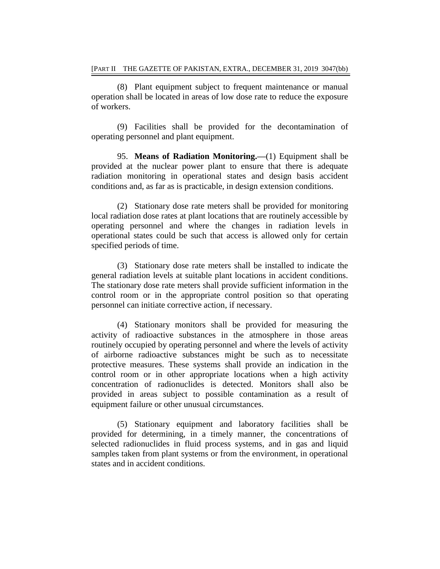(8) Plant equipment subject to frequent maintenance or manual operation shall be located in areas of low dose rate to reduce the exposure of workers.

(9) Facilities shall be provided for the decontamination of operating personnel and plant equipment.

95. **Means of Radiation Monitoring.—**(1) Equipment shall be provided at the nuclear power plant to ensure that there is adequate radiation monitoring in operational states and design basis accident conditions and, as far as is practicable, in design extension conditions.

(2) Stationary dose rate meters shall be provided for monitoring local radiation dose rates at plant locations that are routinely accessible by operating personnel and where the changes in radiation levels in operational states could be such that access is allowed only for certain specified periods of time.

(3) Stationary dose rate meters shall be installed to indicate the general radiation levels at suitable plant locations in accident conditions. The stationary dose rate meters shall provide sufficient information in the control room or in the appropriate control position so that operating personnel can initiate corrective action, if necessary.

(4) Stationary monitors shall be provided for measuring the activity of radioactive substances in the atmosphere in those areas routinely occupied by operating personnel and where the levels of activity of airborne radioactive substances might be such as to necessitate protective measures. These systems shall provide an indication in the control room or in other appropriate locations when a high activity concentration of radionuclides is detected. Monitors shall also be provided in areas subject to possible contamination as a result of equipment failure or other unusual circumstances.

(5) Stationary equipment and laboratory facilities shall be provided for determining, in a timely manner, the concentrations of selected radionuclides in fluid process systems, and in gas and liquid samples taken from plant systems or from the environment, in operational states and in accident conditions.